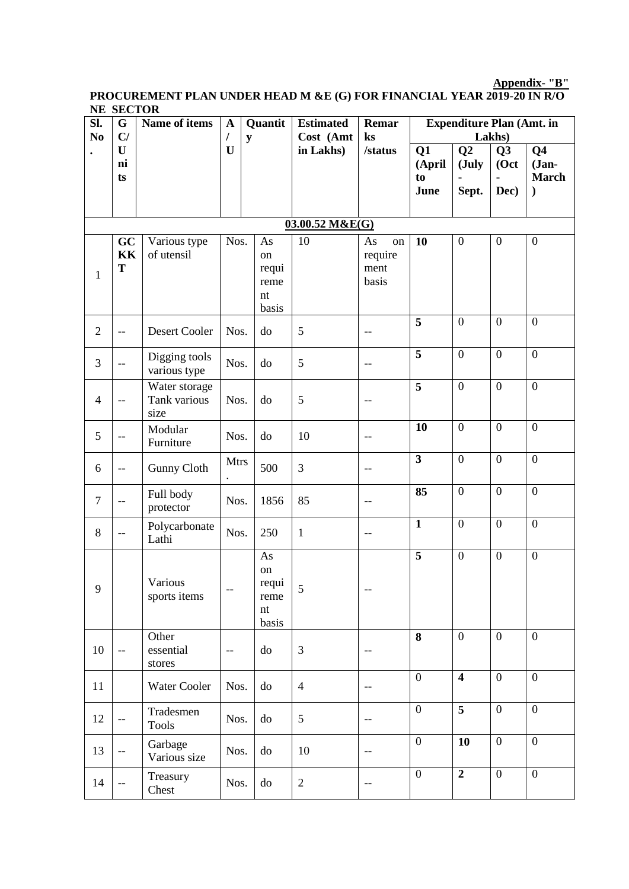**Appendix- "B"**

#### **PROCUREMENT PLAN UNDER HEAD M &E (G) FOR FINANCIAL YEAR 2019-20 IN R/O NE SECTOR**

| * * * *<br>SI.<br>N <sub>0</sub> | <u>UMOTON</u><br>G<br>C/                            | Name of items                         | $\mathbf A$<br>$\prime$ | Quantit<br>${\bf y}$                     | <b>Estimated</b><br>Cost (Amt | Remar<br>ks                                         |                            | <b>Expenditure Plan (Amt. in</b> | Lakhs)             |                                                           |
|----------------------------------|-----------------------------------------------------|---------------------------------------|-------------------------|------------------------------------------|-------------------------------|-----------------------------------------------------|----------------------------|----------------------------------|--------------------|-----------------------------------------------------------|
|                                  | U<br>ni<br>ts                                       |                                       | $\mathbf U$             |                                          | in Lakhs)                     | /status                                             | Q1<br>(April<br>to<br>June | Q2<br>(July<br>Sept.             | Q3<br>(Oct<br>Dec) | Q <sub>4</sub><br>$Jan-$<br><b>March</b><br>$\mathcal{E}$ |
|                                  |                                                     |                                       |                         |                                          | 03.00.52 M&E(G)               |                                                     |                            |                                  |                    |                                                           |
| $\mathbf{1}$                     | GC<br>KK<br>T                                       | Various type<br>of utensil            | Nos.                    | As<br>on<br>requi<br>reme<br>nt<br>basis | 10                            | As<br>on<br>require<br>ment<br>basis                | 10                         | $\boldsymbol{0}$                 | $\boldsymbol{0}$   | $\boldsymbol{0}$                                          |
| $\mathbf{2}$                     | $\overline{\phantom{m}}$                            | Desert Cooler                         | Nos.                    | do                                       | 5                             | $\overline{\phantom{m}}$                            | $\overline{5}$             | $\overline{0}$                   | $\overline{0}$     | $\overline{0}$                                            |
| 3                                | $-$                                                 | Digging tools<br>various type         | Nos.                    | do                                       | 5                             | $-\,-$                                              | $\overline{5}$             | $\overline{0}$                   | $\overline{0}$     | $\boldsymbol{0}$                                          |
| $\overline{4}$                   | $-$                                                 | Water storage<br>Tank various<br>size | Nos.                    | do                                       | 5                             | $-\, -$                                             | $\overline{\mathbf{5}}$    | $\overline{0}$                   | $\overline{0}$     | $\boldsymbol{0}$                                          |
| 5                                | --                                                  | Modular<br>Furniture                  | Nos.                    | do                                       | 10                            | $-\, -$                                             | 10                         | $\overline{0}$                   | $\overline{0}$     | $\boldsymbol{0}$                                          |
| 6                                | $-\,-$                                              | <b>Gunny Cloth</b>                    | <b>Mtrs</b>             | 500                                      | 3                             | $-\,-$                                              | $\overline{\mathbf{3}}$    | $\overline{0}$                   | $\overline{0}$     | $\overline{0}$                                            |
| $\tau$                           | $\overline{\phantom{m}}$                            | Full body<br>protector                | Nos.                    | 1856                                     | 85                            | $-\, -$                                             | 85                         | $\overline{0}$                   | $\mathbf{0}$       | $\overline{0}$                                            |
| 8                                | $\hspace{0.05cm} -\hspace{0.05cm} -\hspace{0.05cm}$ | Polycarbonate<br>Lathi                | Nos.                    | 250                                      | $\mathbf{1}$                  | $\overline{\phantom{m}}$                            | $\mathbf{1}$               | $\overline{0}$                   | $\overline{0}$     | $\overline{0}$                                            |
| 9                                |                                                     | Various<br>sports items               | $- -$                   | As<br>on<br>requi<br>reme<br>nt<br>basis | 5                             | $- -$                                               | $\overline{5}$             | $\overline{0}$                   | $\boldsymbol{0}$   | $\boldsymbol{0}$                                          |
| $10\,$                           | $-\,-$                                              | Other<br>essential<br>stores          | --                      | do                                       | $\mathfrak{Z}$                | $\qquad \qquad -$                                   | 8                          | $\boldsymbol{0}$                 | $\mathbf{0}$       | $\overline{0}$                                            |
| 11                               |                                                     | <b>Water Cooler</b>                   | Nos.                    | do                                       | $\overline{4}$                | $\hspace{0.05cm} -\hspace{0.05cm} -\hspace{0.05cm}$ | $\boldsymbol{0}$           | $\overline{\mathbf{4}}$          | $\boldsymbol{0}$   | $\mathbf{0}$                                              |
| 12                               | $\overline{\phantom{m}}$                            | Tradesmen<br><b>Tools</b>             | Nos.                    | do                                       | 5                             | $\hspace{0.05cm} -\hspace{0.05cm} -\hspace{0.05cm}$ | $\overline{0}$             | $\overline{5}$                   | $\overline{0}$     | $\overline{0}$                                            |
| 13                               | $- -$                                               | Garbage<br>Various size               | Nos.                    | do                                       | 10                            | --                                                  | $\boldsymbol{0}$           | 10                               | $\mathbf{0}$       | $\mathbf{0}$                                              |
| 14                               | --                                                  | Treasury<br>Chest                     | Nos.                    | do                                       | $\mathbf{2}$                  | --                                                  | $\boldsymbol{0}$           | $\overline{2}$                   | $\mathbf{0}$       | $\boldsymbol{0}$                                          |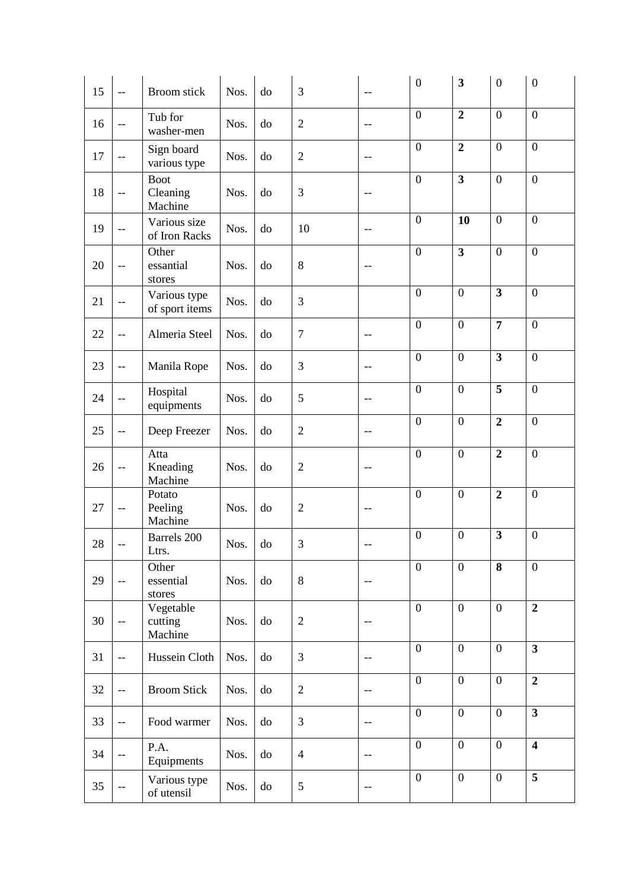| 15 | $-$                      | <b>Broom</b> stick                 | Nos. | do | 3              | $-$                                                 | $\overline{0}$   | $\overline{\mathbf{3}}$ | $\boldsymbol{0}$        | $\boldsymbol{0}$        |
|----|--------------------------|------------------------------------|------|----|----------------|-----------------------------------------------------|------------------|-------------------------|-------------------------|-------------------------|
| 16 | $-$                      | Tub for<br>washer-men              | Nos. | do | $\overline{2}$ | $-$                                                 | $\boldsymbol{0}$ | $\overline{2}$          | $\overline{0}$          | $\overline{0}$          |
| 17 | $-$                      | Sign board<br>various type         | Nos. | do | $\overline{2}$ | $-$                                                 | $\boldsymbol{0}$ | $\overline{2}$          | $\overline{0}$          | $\overline{0}$          |
| 18 | $\overline{a}$           | <b>Boot</b><br>Cleaning<br>Machine | Nos. | do | 3              | $-$                                                 | $\mathbf{0}$     | $\overline{\mathbf{3}}$ | $\overline{0}$          | $\boldsymbol{0}$        |
| 19 | $-$                      | Various size<br>of Iron Racks      | Nos. | do | 10             | $-$                                                 | $\boldsymbol{0}$ | 10                      | $\overline{0}$          | $\overline{0}$          |
| 20 | $-$                      | Other<br>essantial<br>stores       | Nos. | do | $8\,$          |                                                     | $\boldsymbol{0}$ | $\overline{\mathbf{3}}$ | $\boldsymbol{0}$        | $\mathbf{0}$            |
| 21 | --                       | Various type<br>of sport items     | Nos. | do | 3              |                                                     | $\boldsymbol{0}$ | $\boldsymbol{0}$        | $\overline{\mathbf{3}}$ | $\overline{0}$          |
| 22 | $-$                      | Almeria Steel                      | Nos. | do | $\tau$         | --                                                  | $\mathbf{0}$     | $\overline{0}$          | $\overline{7}$          | $\overline{0}$          |
| 23 | $-$                      | Manila Rope                        | Nos. | do | 3              | --                                                  | $\mathbf{0}$     | $\overline{0}$          | $\overline{\mathbf{3}}$ | $\overline{0}$          |
| 24 | $-$                      | Hospital<br>equipments             | Nos. | do | 5              | $-$                                                 | $\boldsymbol{0}$ | $\boldsymbol{0}$        | 5                       | $\overline{0}$          |
| 25 | $-$                      | Deep Freezer                       | Nos. | do | $\overline{2}$ | $\qquad \qquad -$                                   | $\overline{0}$   | $\overline{0}$          | $\overline{2}$          | $\overline{0}$          |
| 26 | $-$                      | Atta<br>Kneading<br>Machine        | Nos. | do | $\overline{2}$ |                                                     | $\mathbf{0}$     | $\boldsymbol{0}$        | $\overline{2}$          | $\overline{0}$          |
| 27 | $-\,-$                   | Potato<br>Peeling<br>Machine       | Nos. | do | $\overline{2}$ | $-$                                                 | $\boldsymbol{0}$ | $\boldsymbol{0}$        | $\overline{2}$          | $\overline{0}$          |
| 28 |                          | Barrels 200<br>Ltrs.               | Nos. | do | 3              |                                                     | $\boldsymbol{0}$ | $\boldsymbol{0}$        | $\overline{\mathbf{3}}$ | $\mathbf{0}$            |
| 29 | $-$                      | Other<br>essential<br>stores       | Nos. | do | $8\,$          | --                                                  | $\overline{0}$   | $\overline{0}$          | 8                       | $\overline{0}$          |
| 30 | $\overline{\phantom{a}}$ | Vegetable<br>cutting<br>Machine    | Nos. | do | $\sqrt{2}$     | $-\, -$                                             | $\mathbf{0}$     | $\boldsymbol{0}$        | $\mathbf{0}$            | $\overline{2}$          |
| 31 | $-$                      | Hussein Cloth                      | Nos. | do | 3              | $-\, -$                                             | $\mathbf{0}$     | $\boldsymbol{0}$        | $\mathbf{0}$            | $\overline{\mathbf{3}}$ |
| 32 | $-$                      | <b>Broom Stick</b>                 | Nos. | do | $\overline{2}$ | $-\, -$                                             | $\mathbf{0}$     | $\overline{0}$          | $\mathbf{0}$            | $\overline{2}$          |
| 33 | $\overline{\phantom{a}}$ | Food warmer                        | Nos. | do | 3              | $-\,-$                                              | $\mathbf{0}$     | $\overline{0}$          | $\mathbf{0}$            | $\overline{\mathbf{3}}$ |
| 34 | --                       | P.A.<br>Equipments                 | Nos. | do | $\overline{4}$ | $-\,-$                                              | $\overline{0}$   | $\overline{0}$          | $\overline{0}$          | $\overline{\mathbf{4}}$ |
| 35 | $\overline{\phantom{a}}$ | Various type<br>of utensil         | Nos. | do | 5              | $\hspace{0.05cm} -\hspace{0.05cm} -\hspace{0.05cm}$ | $\mathbf{0}$     | $\boldsymbol{0}$        | $\boldsymbol{0}$        | $\overline{5}$          |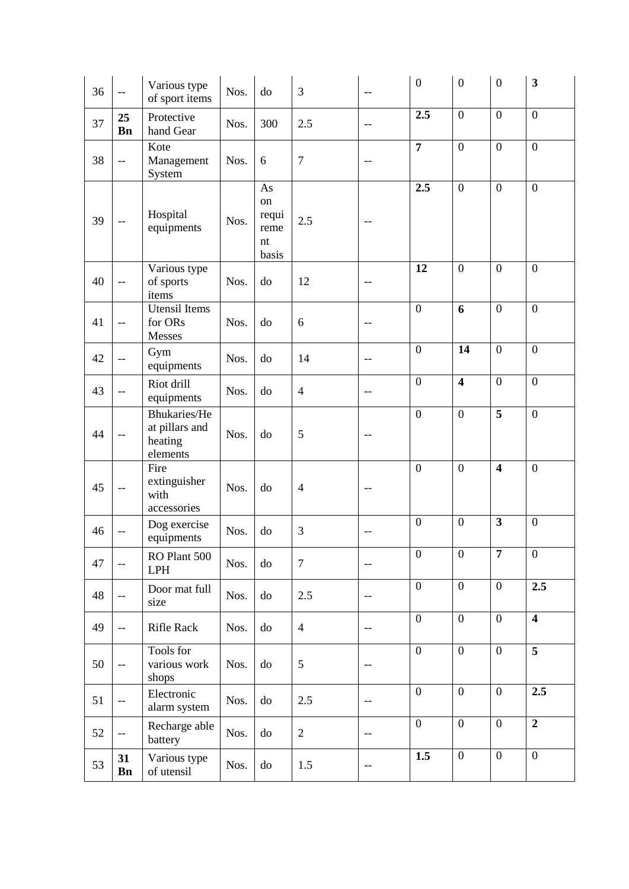| 36 | $-$                      | Various type<br>of sport items                        | Nos. | do                                                           | 3              | $-$                                                 | $\boldsymbol{0}$ | $\boldsymbol{0}$        | $\boldsymbol{0}$        | $\mathbf{3}$            |
|----|--------------------------|-------------------------------------------------------|------|--------------------------------------------------------------|----------------|-----------------------------------------------------|------------------|-------------------------|-------------------------|-------------------------|
| 37 | 25<br><b>Bn</b>          | Protective<br>hand Gear                               | Nos. | 300                                                          | 2.5            | $\qquad \qquad -$                                   | 2.5              | $\boldsymbol{0}$        | $\overline{0}$          | $\overline{0}$          |
| 38 | $\overline{\phantom{m}}$ | Kote<br>Management<br>System                          | Nos. | 6                                                            | $\overline{7}$ | --                                                  | $\overline{7}$   | $\overline{0}$          | $\overline{0}$          | $\mathbf{0}$            |
| 39 | $-\,-$                   | Hospital<br>equipments                                | Nos. | $\mathbf{A}\mathbf{s}$<br>on<br>requi<br>reme<br>nt<br>basis | 2.5            | $-$                                                 | 2.5              | $\boldsymbol{0}$        | $\overline{0}$          | $\overline{0}$          |
| 40 | $-$                      | Various type<br>of sports<br>items                    | Nos. | do                                                           | 12             |                                                     | 12               | $\boldsymbol{0}$        | $\boldsymbol{0}$        | $\boldsymbol{0}$        |
| 41 | $-$                      | <b>Utensil</b> Items<br>for ORs<br>Messes             | Nos. | do                                                           | 6              | --                                                  | $\overline{0}$   | 6                       | $\overline{0}$          | $\overline{0}$          |
| 42 | $\overline{a}$           | Gym<br>equipments                                     | Nos. | do                                                           | 14             |                                                     | $\overline{0}$   | 14                      | $\boldsymbol{0}$        | $\mathbf{0}$            |
| 43 | $-$                      | Riot drill<br>equipments                              | Nos. | do                                                           | $\overline{4}$ | --                                                  | $\overline{0}$   | $\overline{\mathbf{4}}$ | $\boldsymbol{0}$        | $\boldsymbol{0}$        |
| 44 | $-$                      | Bhukaries/He<br>at pillars and<br>heating<br>elements | Nos. | do                                                           | 5              |                                                     | $\overline{0}$   | $\mathbf{0}$            | $\overline{5}$          | $\overline{0}$          |
| 45 | $- -$                    | Fire<br>extinguisher<br>with<br>accessories           | Nos. | do                                                           | $\overline{4}$ | --                                                  | $\overline{0}$   | $\overline{0}$          | $\overline{\mathbf{4}}$ | $\mathbf{0}$            |
| 46 |                          | Dog exercise<br>equipments                            | Nos. | do                                                           | 3              |                                                     | $\overline{0}$   | $\boldsymbol{0}$        | $\overline{\mathbf{3}}$ | $\boldsymbol{0}$        |
| 47 | $-\,-$                   | RO Plant 500<br><b>LPH</b>                            | Nos. | do                                                           | $\overline{7}$ | $- \, -$                                            | $\boldsymbol{0}$ | $\boldsymbol{0}$        | $\overline{7}$          | $\boldsymbol{0}$        |
| 48 | $- -$                    | Door mat full<br>size                                 | Nos. | do                                                           | 2.5            | $-\,-$                                              | $\overline{0}$   | $\overline{0}$          | $\overline{0}$          | 2.5                     |
| 49 | $\overline{\phantom{a}}$ | Rifle Rack                                            | Nos. | do                                                           | $\overline{4}$ | $\hspace{0.05cm} -\hspace{0.05cm} -\hspace{0.05cm}$ | $\overline{0}$   | $\overline{0}$          | $\overline{0}$          | $\overline{\mathbf{4}}$ |
| 50 | $\overline{\phantom{a}}$ | Tools for<br>various work<br>shops                    | Nos. | do                                                           | 5              | $\qquad \qquad -$                                   | $\overline{0}$   | $\boldsymbol{0}$        | $\overline{0}$          | 5                       |
| 51 | $\overline{\phantom{a}}$ | Electronic<br>alarm system                            | Nos. | do                                                           | 2.5            | $-$                                                 | $\overline{0}$   | $\boldsymbol{0}$        | $\boldsymbol{0}$        | 2.5                     |
| 52 | $\overline{\phantom{a}}$ | Recharge able<br>battery                              | Nos. | do                                                           | $\overline{2}$ | $- \, -$                                            | $\overline{0}$   | $\boldsymbol{0}$        | $\overline{0}$          | $\overline{2}$          |
| 53 | 31<br><b>Bn</b>          | Various type<br>of utensil                            | Nos. | do                                                           | 1.5            | $-\,-$                                              | 1.5              | $\boldsymbol{0}$        | $\overline{0}$          | $\overline{0}$          |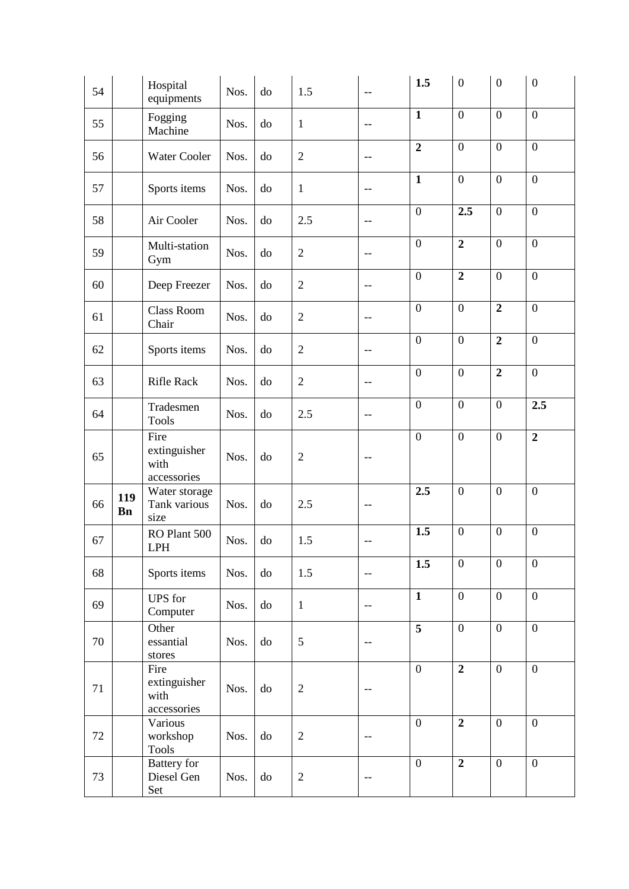| 54 |                  | Hospital<br>equipments                      | Nos. | do | 1.5            | $\overline{\phantom{m}}$ | 1.5            | $\boldsymbol{0}$ | $\boldsymbol{0}$ | $\overline{0}$   |
|----|------------------|---------------------------------------------|------|----|----------------|--------------------------|----------------|------------------|------------------|------------------|
| 55 |                  | Fogging<br>Machine                          | Nos. | do | $\mathbf{1}$   | $-$                      | $\mathbf{1}$   | $\boldsymbol{0}$ | $\overline{0}$   | $\overline{0}$   |
| 56 |                  | Water Cooler                                | Nos. | do | $\overline{2}$ | $-$                      | $\overline{2}$ | $\boldsymbol{0}$ | $\overline{0}$   | $\mathbf{0}$     |
| 57 |                  | Sports items                                | Nos. | do | $\mathbf{1}$   | $-\,-$                   | $\mathbf{1}$   | $\boldsymbol{0}$ | $\overline{0}$   | $\boldsymbol{0}$ |
| 58 |                  | Air Cooler                                  | Nos. | do | 2.5            | $-\,-$                   | $\overline{0}$ | 2.5              | $\overline{0}$   | $\mathbf{0}$     |
| 59 |                  | Multi-station<br>Gym                        | Nos. | do | $\sqrt{2}$     | $-\,-$                   | $\overline{0}$ | $\overline{2}$   | $\overline{0}$   | $\overline{0}$   |
| 60 |                  | Deep Freezer                                | Nos. | do | $\sqrt{2}$     | $-\, -$                  | $\overline{0}$ | $\overline{2}$   | $\overline{0}$   | $\overline{0}$   |
| 61 |                  | Class Room<br>Chair                         | Nos. | do | $\sqrt{2}$     | $\overline{\phantom{m}}$ | $\overline{0}$ | $\mathbf{0}$     | $\overline{2}$   | $\overline{0}$   |
| 62 |                  | Sports items                                | Nos. | do | $\sqrt{2}$     | $-\, -$                  | $\overline{0}$ | $\overline{0}$   | $\overline{2}$   | $\overline{0}$   |
| 63 |                  | <b>Rifle Rack</b>                           | Nos. | do | $\sqrt{2}$     | $-\, -$                  | $\overline{0}$ | $\mathbf{0}$     | $\overline{2}$   | $\overline{0}$   |
| 64 |                  | Tradesmen<br><b>Tools</b>                   | Nos. | do | 2.5            | $\overline{\phantom{m}}$ | $\overline{0}$ | $\boldsymbol{0}$ | $\overline{0}$   | 2.5              |
| 65 |                  | Fire<br>extinguisher<br>with<br>accessories | Nos. | do | $\overline{2}$ | $- -$                    | $\overline{0}$ | $\boldsymbol{0}$ | $\boldsymbol{0}$ | $\overline{2}$   |
| 66 | 119<br><b>Bn</b> | Water storage<br>Tank various<br>size       | Nos. | do | 2.5            |                          | 2.5            | $\overline{0}$   | $\boldsymbol{0}$ | $\mathbf{0}$     |
| 67 |                  | RO Plant 500<br>LPH                         | Nos. | do | 1.5            |                          | 1.5            | $\boldsymbol{0}$ | $\boldsymbol{0}$ | $\mathbf{0}$     |
| 68 |                  | Sports items                                | Nos. | do | 1.5            | $-\,-$                   | 1.5            | $\boldsymbol{0}$ | $\overline{0}$   | $\mathbf{0}$     |
| 69 |                  | <b>UPS</b> for<br>Computer                  | Nos. | do | $\mathbf{1}$   | --                       | $\mathbf{1}$   | $\boldsymbol{0}$ | $\overline{0}$   | $\overline{0}$   |
| 70 |                  | Other<br>essantial<br>stores                | Nos. | do | 5              | $\overline{\phantom{m}}$ | $\overline{5}$ | $\boldsymbol{0}$ | $\overline{0}$   | $\mathbf{0}$     |
| 71 |                  | Fire<br>extinguisher<br>with<br>accessories | Nos. | do | $\sqrt{2}$     | $\qquad \qquad -$        | $\overline{0}$ | $\overline{2}$   | $\overline{0}$   | $\mathbf{0}$     |
| 72 |                  | Various<br>workshop<br><b>Tools</b>         | Nos. | do | $\overline{2}$ | $-\hbox{--}$             | $\overline{0}$ | $\overline{2}$   | $\overline{0}$   | $\overline{0}$   |
| 73 |                  | <b>Battery</b> for<br>Diesel Gen<br>Set     | Nos. | do | $\sqrt{2}$     | $-\,-$                   | $\mathbf{0}$   | $\overline{2}$   | $\overline{0}$   | $\boldsymbol{0}$ |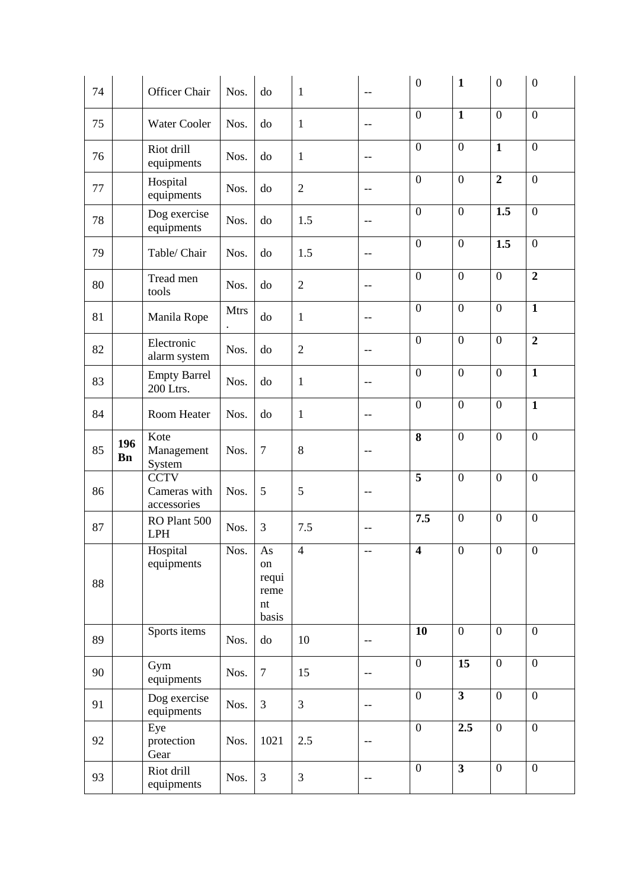| 74 |                  | Officer Chair                              | Nos.        | do                                                           | $\mathbf{1}$   | $-$                                                 | $\boldsymbol{0}$ | $\mathbf{1}$            | $\overline{0}$   | $\overline{0}$   |
|----|------------------|--------------------------------------------|-------------|--------------------------------------------------------------|----------------|-----------------------------------------------------|------------------|-------------------------|------------------|------------------|
| 75 |                  | Water Cooler                               | Nos.        | do                                                           | $\mathbf{1}$   | $-$                                                 | $\overline{0}$   | $\mathbf{1}$            | $\overline{0}$   | $\overline{0}$   |
| 76 |                  | Riot drill<br>equipments                   | Nos.        | do                                                           | $\mathbf{1}$   | $\qquad \qquad -$                                   | $\overline{0}$   | $\overline{0}$          | $\mathbf{1}$     | $\overline{0}$   |
| 77 |                  | Hospital<br>equipments                     | Nos.        | do                                                           | $\overline{2}$ | $-\,-$                                              | $\overline{0}$   | $\overline{0}$          | $\overline{2}$   | $\mathbf{0}$     |
| 78 |                  | Dog exercise<br>equipments                 | Nos.        | do                                                           | 1.5            | $-\,-$                                              | $\overline{0}$   | $\overline{0}$          | 1.5              | $\mathbf{0}$     |
| 79 |                  | Table/ Chair                               | Nos.        | do                                                           | 1.5            | --                                                  | $\overline{0}$   | $\boldsymbol{0}$        | 1.5              | $\mathbf{0}$     |
| 80 |                  | Tread men<br>tools                         | Nos.        | do                                                           | $\overline{2}$ | --                                                  | $\overline{0}$   | $\overline{0}$          | $\overline{0}$   | $\overline{2}$   |
| 81 |                  | Manila Rope                                | <b>Mtrs</b> | do                                                           | $\mathbf{1}$   | $- -$                                               | $\overline{0}$   | $\overline{0}$          | $\overline{0}$   | $\mathbf{1}$     |
| 82 |                  | Electronic<br>alarm system                 | Nos.        | do                                                           | $\overline{2}$ | $-$                                                 | $\overline{0}$   | $\overline{0}$          | $\overline{0}$   | $\overline{2}$   |
| 83 |                  | <b>Empty Barrel</b><br>200 Ltrs.           | Nos.        | do                                                           | $\mathbf{1}$   | $\hspace{0.05cm} -\hspace{0.05cm} -\hspace{0.05cm}$ | $\overline{0}$   | $\overline{0}$          | $\overline{0}$   | $\mathbf{1}$     |
| 84 |                  | Room Heater                                | Nos.        | do                                                           | $\mathbf{1}$   | --                                                  | $\overline{0}$   | $\overline{0}$          | $\overline{0}$   | $\mathbf{1}$     |
| 85 | 196<br><b>Bn</b> | Kote<br>Management<br>System               | Nos.        | $\overline{7}$                                               | $8\,$          | $\qquad \qquad -$                                   | 8                | $\overline{0}$          | $\overline{0}$   | $\overline{0}$   |
| 86 |                  | <b>CCTV</b><br>Cameras with<br>accessories | Nos.        | 5                                                            | 5              | $-\,-$                                              | $\overline{5}$   | $\boldsymbol{0}$        | $\overline{0}$   | $\boldsymbol{0}$ |
| 87 |                  | RO Plant 500<br>LPH                        | Nos.        | 3                                                            | 7.5            | --                                                  | 7.5              | $\boldsymbol{0}$        | $\overline{0}$   | $\overline{0}$   |
| 88 |                  | Hospital<br>equipments                     | Nos.        | $\mathbf{A}\mathbf{s}$<br>on<br>requi<br>reme<br>nt<br>basis | $\overline{4}$ | --                                                  | $\overline{4}$   | $\overline{0}$          | $\overline{0}$   | $\boldsymbol{0}$ |
| 89 |                  | Sports items                               | Nos.        | do                                                           | 10             | $\qquad \qquad -$                                   | 10               | $\boldsymbol{0}$        | $\overline{0}$   | $\overline{0}$   |
| 90 |                  | Gym<br>equipments                          | Nos.        | $\tau$                                                       | 15             | $- -$                                               | $\overline{0}$   | 15                      | $\boldsymbol{0}$ | $\overline{0}$   |
| 91 |                  | Dog exercise<br>equipments                 | Nos.        | 3                                                            | 3              | $-\hbox{--}$                                        | $\overline{0}$   | $\overline{\mathbf{3}}$ | $\overline{0}$   | $\overline{0}$   |
| 92 |                  | Eye<br>protection<br>Gear                  | Nos.        | 1021                                                         | 2.5            | $-\,-$                                              | $\overline{0}$   | 2.5                     | $\overline{0}$   | $\overline{0}$   |
| 93 |                  | Riot drill<br>equipments                   | Nos.        | 3                                                            | $\mathfrak{Z}$ | $-\, -$                                             | $\overline{0}$   | $\overline{\mathbf{3}}$ | $\overline{0}$   | $\boldsymbol{0}$ |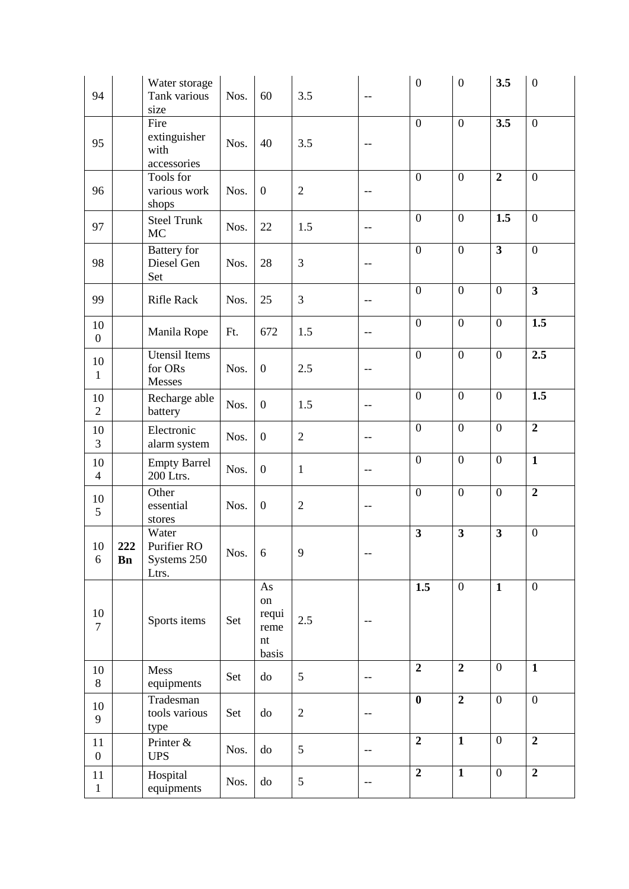| 94                     |                  | Water storage<br>Tank various<br>size        | Nos. | 60                                       | 3.5            | $-\,-$                   | $\overline{0}$          | $\boldsymbol{0}$ | 3.5                     | $\boldsymbol{0}$        |
|------------------------|------------------|----------------------------------------------|------|------------------------------------------|----------------|--------------------------|-------------------------|------------------|-------------------------|-------------------------|
| 95                     |                  | Fire<br>extinguisher<br>with<br>accessories  | Nos. | 40                                       | 3.5            |                          | $\mathbf{0}$            | $\overline{0}$   | 3.5                     | $\overline{0}$          |
| 96                     |                  | Tools for<br>various work<br>shops           | Nos. | $\boldsymbol{0}$                         | $\overline{2}$ | $\qquad \qquad -$        | $\boldsymbol{0}$        | $\overline{0}$   | $\overline{2}$          | $\overline{0}$          |
| 97                     |                  | <b>Steel Trunk</b><br><b>MC</b>              | Nos. | 22                                       | 1.5            | $\qquad \qquad -$        | $\mathbf{0}$            | $\overline{0}$   | 1.5                     | $\mathbf{0}$            |
| 98                     |                  | <b>Battery</b> for<br>Diesel Gen<br>Set      | Nos. | 28                                       | 3              |                          | $\boldsymbol{0}$        | $\overline{0}$   | $\overline{\mathbf{3}}$ | $\boldsymbol{0}$        |
| 99                     |                  | <b>Rifle Rack</b>                            | Nos. | 25                                       | 3              | $-\, -$                  | $\overline{0}$          | $\overline{0}$   | $\mathbf{0}$            | $\overline{\mathbf{3}}$ |
| 10<br>$\boldsymbol{0}$ |                  | Manila Rope                                  | Ft.  | 672                                      | 1.5            | $\overline{\phantom{m}}$ | $\mathbf{0}$            | $\overline{0}$   | $\overline{0}$          | 1.5                     |
| 10<br>$\mathbf{1}$     |                  | <b>Utensil</b> Items<br>for ORs<br>Messes    | Nos. | $\boldsymbol{0}$                         | 2.5            | $-$                      | $\mathbf{0}$            | $\overline{0}$   | $\overline{0}$          | 2.5                     |
| 10<br>$\overline{2}$   |                  | Recharge able<br>battery                     | Nos. | $\boldsymbol{0}$                         | 1.5            | $-$                      | $\boldsymbol{0}$        | $\overline{0}$   | $\overline{0}$          | 1.5                     |
| 10<br>3                |                  | Electronic<br>alarm system                   | Nos. | $\boldsymbol{0}$                         | $\sqrt{2}$     | $-\,-$                   | $\mathbf{0}$            | $\overline{0}$   | $\overline{0}$          | $\overline{2}$          |
| 10<br>$\overline{4}$   |                  | <b>Empty Barrel</b><br>200 Ltrs.             | Nos. | $\boldsymbol{0}$                         | $\mathbf{1}$   | $-\, -$                  | $\overline{0}$          | $\overline{0}$   | $\overline{0}$          | $\mathbf{1}$            |
| 10<br>5                |                  | Other<br>essential<br>stores                 | Nos. | $\boldsymbol{0}$                         | $\overline{2}$ | $-$                      | $\mathbf{0}$            | $\overline{0}$   | $\overline{0}$          | $\overline{2}$          |
| 10<br>6                | 222<br><b>Bn</b> | Water<br>Purifier RO<br>Systems 250<br>Ltrs. | Nos. | 6                                        | 9              | $-\, -$                  | $\overline{\mathbf{3}}$ | 3                | $\overline{\mathbf{3}}$ | $\boldsymbol{0}$        |
| 10<br>$\overline{7}$   |                  | Sports items                                 | Set  | As<br>on<br>requi<br>reme<br>nt<br>basis | 2.5            | $-\, -$                  | $\overline{1.5}$        | $\mathbf{0}$     | $\mathbf{1}$            | $\mathbf{0}$            |
| $10\,$<br>8            |                  | Mess<br>equipments                           | Set  | do                                       | 5              | $-\,-$                   | $\overline{2}$          | $\overline{2}$   | $\boldsymbol{0}$        | $\mathbf{1}$            |
| 10<br>9                |                  | Tradesman<br>tools various<br>type           | Set  | do                                       | $\mathbf{2}$   |                          | $\bf{0}$                | $\boldsymbol{2}$ | $\overline{0}$          | $\boldsymbol{0}$        |
| 11<br>$\boldsymbol{0}$ |                  | Printer &<br><b>UPS</b>                      | Nos. | do                                       | 5              | $-\, -$                  | $\overline{2}$          | $\mathbf{1}$     | $\mathbf{0}$            | $\overline{2}$          |
| 11<br>$\mathbf{1}$     |                  | Hospital<br>equipments                       | Nos. | do                                       | 5              | $\qquad \qquad -$        | $\overline{2}$          | $\overline{1}$   | $\mathbf{0}$            | $\overline{2}$          |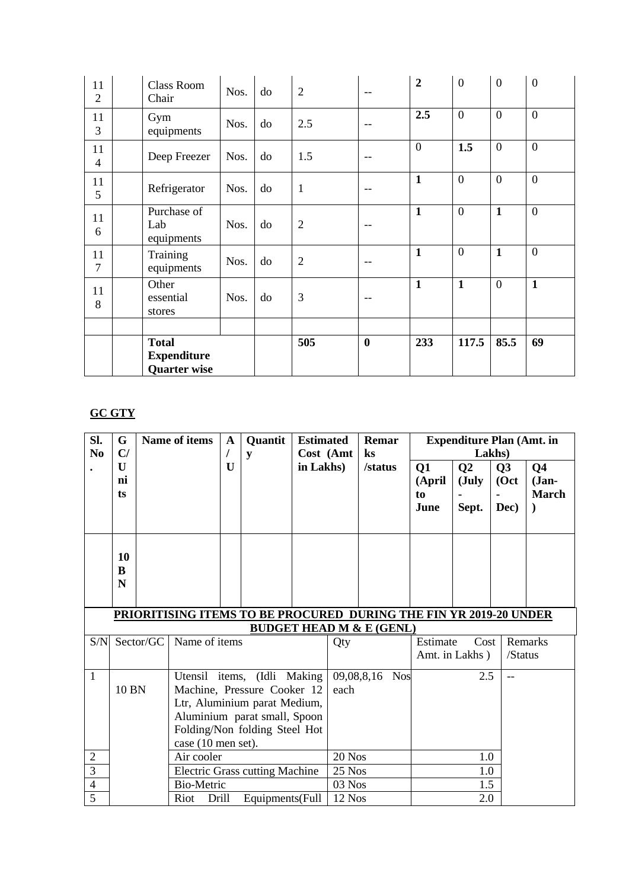| 11<br>$\overline{2}$ | <b>Class Room</b><br>Chair                                | Nos. | do | $\overline{2}$ | $-$      | $\overline{2}$ | $\overline{0}$ | $\mathbf{0}$     | $\overline{0}$ |
|----------------------|-----------------------------------------------------------|------|----|----------------|----------|----------------|----------------|------------------|----------------|
| 11<br>3              | Gym<br>equipments                                         | Nos. | do | 2.5            | $-$      | 2.5            | $\overline{0}$ | $\mathbf{0}$     | $\overline{0}$ |
| 11<br>$\overline{4}$ | Deep Freezer                                              | Nos. | do | 1.5            | $-$      | $\theta$       | 1.5            | $\boldsymbol{0}$ | $\mathbf{0}$   |
| 11<br>5              | Refrigerator                                              | Nos. | do | $\mathbf{1}$   | --       | $\mathbf{1}$   | $\overline{0}$ | $\overline{0}$   | $\overline{0}$ |
| 11<br>6              | Purchase of<br>Lab<br>equipments                          | Nos. | do | $\overline{2}$ | --       | $\mathbf{1}$   | $\overline{0}$ | $\mathbf{1}$     | $\overline{0}$ |
| 11<br>7              | Training<br>equipments                                    | Nos. | do | $\overline{2}$ |          | $\mathbf{1}$   | $\overline{0}$ | $\mathbf{1}$     | $\overline{0}$ |
| 11<br>8              | Other<br>essential<br>stores                              | Nos. | do | 3              |          | $\mathbf{1}$   | $\mathbf{1}$   | $\overline{0}$   | $\mathbf{1}$   |
|                      |                                                           |      |    |                |          |                |                |                  |                |
|                      | <b>Total</b><br><b>Expenditure</b><br><b>Quarter wise</b> |      |    | 505            | $\bf{0}$ | 233            | 117.5          | 85.5             | 69             |

# **GC GTY**

| Sl.<br>N <sub>0</sub> | G<br>C/                                                                                                                                                                                    |           | <b>Name of items</b><br>Quantit<br>$\mathbf A$<br>y |                                       |                                                                   | <b>Estimated</b><br>Remar<br>Cost (Amt<br>$\bf ks$ |        | <b>Expenditure Plan (Amt. in</b><br>Lakhs) |                            |                                  |                     |                                                       |
|-----------------------|--------------------------------------------------------------------------------------------------------------------------------------------------------------------------------------------|-----------|-----------------------------------------------------|---------------------------------------|-------------------------------------------------------------------|----------------------------------------------------|--------|--------------------------------------------|----------------------------|----------------------------------|---------------------|-------------------------------------------------------|
|                       | U<br>ni<br>ts                                                                                                                                                                              |           |                                                     | U                                     |                                                                   | in Lakhs)                                          |        | /status                                    | Q1<br>(April<br>to<br>June | Q <sub>2</sub><br>(July<br>Sept. | Q3<br>(Oct)<br>Dec) | Q <sub>4</sub><br>$Jan-$<br><b>March</b><br>$\lambda$ |
|                       | 10<br>B<br>N                                                                                                                                                                               |           |                                                     |                                       |                                                                   |                                                    |        |                                            |                            |                                  |                     |                                                       |
|                       |                                                                                                                                                                                            |           |                                                     |                                       | PRIORITISING ITEMS TO BE PROCURED DURING THE FIN YR 2019-20 UNDER |                                                    |        | <b>BUDGET HEAD M &amp; E (GENL)</b>        |                            |                                  |                     |                                                       |
| S/N                   |                                                                                                                                                                                            | Sector/GC | Name of items                                       |                                       |                                                                   |                                                    | Qty    |                                            | Estimate                   | Cost<br>Amt. in Lakhs)           | /Status             | Remarks                                               |
| $\mathbf{1}$          | Utensil items, (Idli Making<br>10 BN<br>Machine, Pressure Cooker 12<br>Ltr, Aluminium parat Medium,<br>Aluminium parat small, Spoon<br>Folding/Non folding Steel Hot<br>case (10 men set). |           |                                                     | each                                  | 09,08,8,16<br><b>Nos</b>                                          |                                                    | 2.5    |                                            |                            |                                  |                     |                                                       |
| $\overline{2}$        |                                                                                                                                                                                            |           | Air cooler                                          |                                       |                                                                   |                                                    | 20 Nos |                                            |                            | 1.0                              |                     |                                                       |
| $\overline{3}$        |                                                                                                                                                                                            |           |                                                     | <b>Electric Grass cutting Machine</b> |                                                                   | 25 Nos                                             |        |                                            | 1.0                        |                                  |                     |                                                       |
| $\overline{4}$        |                                                                                                                                                                                            |           | <b>Bio-Metric</b>                                   |                                       |                                                                   |                                                    | 03 Nos |                                            |                            | 1.5                              |                     |                                                       |
| 5                     |                                                                                                                                                                                            |           | Riot                                                | Drill<br>Equipments(Full              |                                                                   |                                                    | 12 Nos |                                            |                            | 2.0                              |                     |                                                       |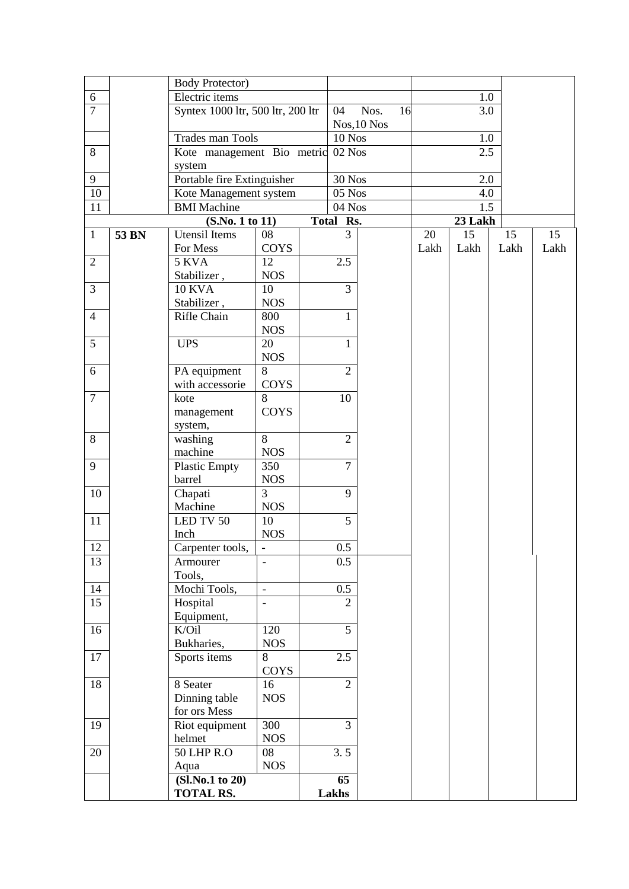|                |       | <b>Body Protector)</b>            |                              |                |             |      |         |      |      |
|----------------|-------|-----------------------------------|------------------------------|----------------|-------------|------|---------|------|------|
| 6              |       | Electric items                    |                              |                |             |      | 1.0     |      |      |
| $\overline{7}$ |       | Syntex 1000 ltr, 500 ltr, 200 ltr |                              | 04             | Nos.<br>16  |      | 3.0     |      |      |
|                |       |                                   |                              |                | Nos, 10 Nos |      |         |      |      |
|                |       | Trades man Tools                  |                              | 10 Nos         |             |      | 1.0     |      |      |
| 8              |       | Kote management Bio metric        |                              | 02 Nos         |             |      | 2.5     |      |      |
|                |       | system                            |                              |                |             |      |         |      |      |
| 9              |       | Portable fire Extinguisher        |                              | <b>30 Nos</b>  |             |      | 2.0     |      |      |
| 10             |       |                                   |                              |                |             |      |         |      |      |
|                |       | Kote Management system            |                              | 05 Nos         |             |      | 4.0     |      |      |
| 11             |       | <b>BMI</b> Machine                |                              | 04 Nos         |             |      | 1.5     |      |      |
|                |       | (S.No. 1 to 11)                   |                              | Total Rs.      |             |      | 23 Lakh |      |      |
| $\mathbf{1}$   | 53 BN | Utensil Items                     | 08                           | 3              |             | 20   | 15      | 15   | 15   |
|                |       | For Mess                          | <b>COYS</b>                  |                |             | Lakh | Lakh    | Lakh | Lakh |
| $\overline{2}$ |       | 5 KVA                             | 12                           | 2.5            |             |      |         |      |      |
|                |       | Stabilizer,                       | <b>NOS</b>                   |                |             |      |         |      |      |
| $\overline{3}$ |       | <b>10 KVA</b>                     | 10                           | 3              |             |      |         |      |      |
|                |       | Stabilizer,                       | <b>NOS</b>                   |                |             |      |         |      |      |
| $\overline{4}$ |       | Rifle Chain                       | 800                          | $\mathbf{1}$   |             |      |         |      |      |
|                |       |                                   | <b>NOS</b>                   |                |             |      |         |      |      |
| 5              |       | <b>UPS</b>                        | 20                           | $\mathbf{1}$   |             |      |         |      |      |
|                |       |                                   | <b>NOS</b>                   |                |             |      |         |      |      |
| 6              |       | PA equipment                      | 8                            | $\overline{2}$ |             |      |         |      |      |
|                |       | with accessorie                   | COYS                         |                |             |      |         |      |      |
| $\overline{7}$ |       | kote                              | 8                            | 10             |             |      |         |      |      |
|                |       | management                        | <b>COYS</b>                  |                |             |      |         |      |      |
|                |       | system,                           |                              |                |             |      |         |      |      |
| 8              |       | washing                           | 8                            | $\overline{2}$ |             |      |         |      |      |
|                |       | machine                           | <b>NOS</b>                   |                |             |      |         |      |      |
| 9              |       |                                   | 350                          | $\overline{7}$ |             |      |         |      |      |
|                |       | <b>Plastic Empty</b>              |                              |                |             |      |         |      |      |
|                |       | barrel                            | <b>NOS</b><br>$\overline{3}$ |                |             |      |         |      |      |
| 10             |       | Chapati                           |                              | 9              |             |      |         |      |      |
|                |       | Machine                           | <b>NOS</b>                   |                |             |      |         |      |      |
| 11             |       | LED TV 50                         | 10                           | 5              |             |      |         |      |      |
|                |       | Inch                              | <b>NOS</b>                   |                |             |      |         |      |      |
| $12\,$         |       | Carpenter tools,                  |                              | $0.5\,$        |             |      |         |      |      |
| 13             |       | Armourer                          |                              | 0.5            |             |      |         |      |      |
|                |       | Tools,                            |                              |                |             |      |         |      |      |
| 14             |       | Mochi Tools,                      | $\blacksquare$               | 0.5            |             |      |         |      |      |
| 15             |       | Hospital                          | $\overline{a}$               | $\overline{2}$ |             |      |         |      |      |
|                |       | Equipment,                        |                              |                |             |      |         |      |      |
| 16             |       | K/Oil                             | 120                          | $\overline{5}$ |             |      |         |      |      |
|                |       | Bukharies,                        | <b>NOS</b>                   |                |             |      |         |      |      |
| 17             |       | Sports items                      | 8                            | 2.5            |             |      |         |      |      |
|                |       |                                   | COYS                         |                |             |      |         |      |      |
| 18             |       | 8 Seater                          | 16                           | $\overline{2}$ |             |      |         |      |      |
|                |       | Dinning table                     | <b>NOS</b>                   |                |             |      |         |      |      |
|                |       | for ors Mess                      |                              |                |             |      |         |      |      |
| 19             |       | Riot equipment                    | 300                          | $\overline{3}$ |             |      |         |      |      |
|                |       | helmet                            | <b>NOS</b>                   |                |             |      |         |      |      |
| 20             |       | 50 LHP R.O                        | 08                           | 3.5            |             |      |         |      |      |
|                |       | Aqua                              | $_{\rm NOS}$                 |                |             |      |         |      |      |
|                |       | (Sl.No.1 to 20)                   |                              | 65             |             |      |         |      |      |
|                |       | <b>TOTAL RS.</b>                  |                              | Lakhs          |             |      |         |      |      |
|                |       |                                   |                              |                |             |      |         |      |      |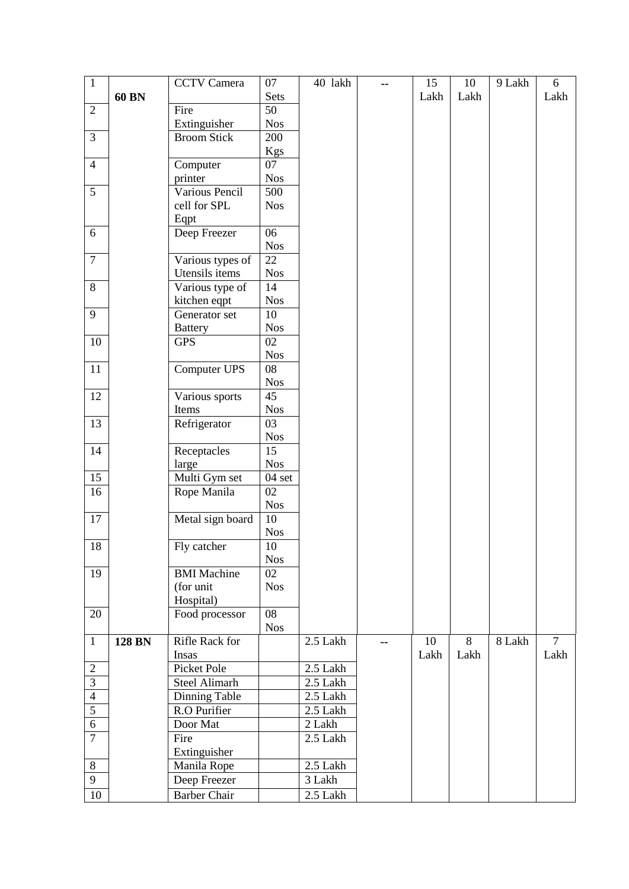| $\mathbf{1}$<br><b>CCTV</b> Camera<br>07<br>40 lakh<br>15<br>10<br>-- | 9 Lakh | 6              |
|-----------------------------------------------------------------------|--------|----------------|
| 60 BN<br><b>Sets</b><br>Lakh<br>Lakh                                  |        | Lakh           |
| Fire<br>50<br>$\overline{2}$                                          |        |                |
| Extinguisher<br><b>Nos</b>                                            |        |                |
| 3<br>200<br><b>Broom Stick</b>                                        |        |                |
| Kgs                                                                   |        |                |
| $\overline{4}$<br>Computer<br>07                                      |        |                |
| printer<br><b>Nos</b>                                                 |        |                |
| Various Pencil<br>5<br>$\overline{5}00$                               |        |                |
| cell for SPL<br><b>Nos</b>                                            |        |                |
| Eqpt                                                                  |        |                |
| Deep Freezer<br>$\overline{06}$<br>6                                  |        |                |
| <b>Nos</b>                                                            |        |                |
| $\tau$<br>Various types of<br>22                                      |        |                |
| Utensils items<br><b>Nos</b>                                          |        |                |
| 8<br>Various type of<br>14                                            |        |                |
| kitchen eqpt<br><b>Nos</b>                                            |        |                |
| $\overline{9}$<br>10<br>Generator set                                 |        |                |
| <b>Nos</b><br><b>Battery</b>                                          |        |                |
| 10<br><b>GPS</b><br>02                                                |        |                |
| <b>Nos</b>                                                            |        |                |
| Computer UPS<br>08<br>11                                              |        |                |
| <b>Nos</b><br>12<br>45                                                |        |                |
| Various sports<br><b>Nos</b><br>Items                                 |        |                |
| 13<br>Refrigerator<br>03                                              |        |                |
| <b>Nos</b>                                                            |        |                |
| 14<br>Receptacles<br>15                                               |        |                |
| <b>Nos</b><br>large                                                   |        |                |
| Multi Gym set<br>15<br>04 set                                         |        |                |
| 02<br>16<br>Rope Manila                                               |        |                |
| <b>Nos</b>                                                            |        |                |
| 17<br>Metal sign board<br>10                                          |        |                |
| <b>Nos</b>                                                            |        |                |
| 18<br>10<br>Fly catcher                                               |        |                |
| <b>Nos</b>                                                            |        |                |
| <b>BMI</b> Machine<br>19<br>02                                        |        |                |
| (for unit<br><b>Nos</b>                                               |        |                |
| Hospital)                                                             |        |                |
| 08<br>20<br>Food processor                                            |        |                |
| <b>Nos</b><br>Rifle Rack for<br>8<br>$\mathbf{1}$<br>2.5 Lakh<br>10   | 8 Lakh | $\overline{7}$ |
| <b>128 BN</b><br>--<br>Insas<br>Lakh<br>Lakh                          |        | Lakh           |
| Picket Pole<br>2.5 Lakh                                               |        |                |
| $\overline{c}$<br>$\overline{3}$<br>Steel Alimarh<br>2.5 Lakh         |        |                |
| $\overline{4}$<br>Dinning Table<br>2.5 Lakh                           |        |                |
| $\overline{5}$<br>R.O Purifier<br>2.5 Lakh                            |        |                |
| 6<br>Door Mat<br>2 Lakh                                               |        |                |
| $\overline{7}$<br>Fire<br>2.5 Lakh                                    |        |                |
| Extinguisher                                                          |        |                |
| $8\,$<br>Manila Rope<br>2.5 Lakh                                      |        |                |
| 9<br>3 Lakh<br>Deep Freezer                                           |        |                |
| $10\,$<br>2.5 Lakh<br><b>Barber Chair</b>                             |        |                |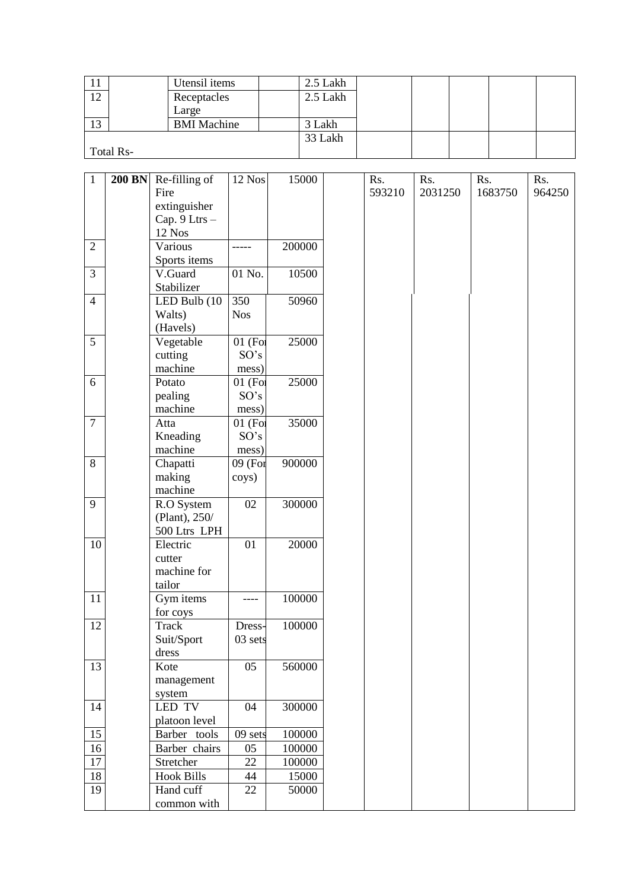| T T       |           | Utensil items      | 2.5 Lakh |  |  |  |
|-----------|-----------|--------------------|----------|--|--|--|
| 12<br>⊥ ∠ |           | Receptacles        | 2.5 Lakh |  |  |  |
|           |           | Large              |          |  |  |  |
| 13        |           | <b>BMI</b> Machine | 3 Lakh   |  |  |  |
|           |           |                    | 33 Lakh  |  |  |  |
|           | Total Rs- |                    |          |  |  |  |

| $\mathbf{1}$   | <b>200 BN</b> | Re-filling of            | 12 Nos     | 15000  | Rs.    | Rs.     | Rs.     | Rs.    |
|----------------|---------------|--------------------------|------------|--------|--------|---------|---------|--------|
|                |               | Fire                     |            |        | 593210 | 2031250 | 1683750 | 964250 |
|                |               | extinguisher             |            |        |        |         |         |        |
|                |               | Cap. 9 Ltrs -            |            |        |        |         |         |        |
|                |               | 12 Nos                   |            |        |        |         |         |        |
| $\overline{2}$ |               | Various                  |            | 200000 |        |         |         |        |
|                |               | Sports items             |            |        |        |         |         |        |
| 3              |               | V.Guard                  | 01 No.     | 10500  |        |         |         |        |
|                |               | Stabilizer               |            |        |        |         |         |        |
| $\overline{4}$ |               | LED Bulb (10             | 350        | 50960  |        |         |         |        |
|                |               | Walts)                   | <b>Nos</b> |        |        |         |         |        |
|                |               | (Havels)                 |            |        |        |         |         |        |
| 5              |               | Vegetable                | 01 (For    | 25000  |        |         |         |        |
|                |               | cutting                  | SO's       |        |        |         |         |        |
|                |               | machine                  | mess)      |        |        |         |         |        |
| 6              |               | Potato                   | 01 (For    | 25000  |        |         |         |        |
|                |               | pealing                  | SO's       |        |        |         |         |        |
|                |               | machine                  | mess)      |        |        |         |         |        |
| $\overline{7}$ |               | Atta                     | $01$ (For  | 35000  |        |         |         |        |
|                |               | Kneading                 | SO's       |        |        |         |         |        |
|                |               | machine                  | mess)      |        |        |         |         |        |
| 8              |               | Chapatti                 | 09 (For    | 900000 |        |         |         |        |
|                |               | making                   | coys)      |        |        |         |         |        |
|                |               | machine                  |            |        |        |         |         |        |
| 9              |               | R.O System               | 02         | 300000 |        |         |         |        |
|                |               | (Plant), 250/            |            |        |        |         |         |        |
|                |               | 500 Ltrs LPH             |            |        |        |         |         |        |
| 10             |               | Electric                 | 01         | 20000  |        |         |         |        |
|                |               | cutter                   |            |        |        |         |         |        |
|                |               | machine for              |            |        |        |         |         |        |
|                |               | tailor                   |            |        |        |         |         |        |
| 11             |               | Gym items                |            | 100000 |        |         |         |        |
| 12             |               | for coys<br><b>Track</b> |            |        |        |         |         |        |
|                |               |                          | Dress-     | 100000 |        |         |         |        |
|                |               | Suit/Sport<br>dress      | $03$ sets  |        |        |         |         |        |
| 13             |               | Kote                     | 05         | 560000 |        |         |         |        |
|                |               | management               |            |        |        |         |         |        |
|                |               | system                   |            |        |        |         |         |        |
| 14             |               | <b>LED TV</b>            | 04         | 300000 |        |         |         |        |
|                |               | platoon level            |            |        |        |         |         |        |
| 15             |               | Barber tools             | 09 sets    | 100000 |        |         |         |        |
| 16             |               | Barber chairs            | 05         | 100000 |        |         |         |        |
| 17             |               | Stretcher                | 22         | 100000 |        |         |         |        |
| 18             |               | <b>Hook Bills</b>        | 44         | 15000  |        |         |         |        |
| 19             |               | Hand cuff                | 22         | 50000  |        |         |         |        |
|                |               | common with              |            |        |        |         |         |        |
|                |               |                          |            |        |        |         |         |        |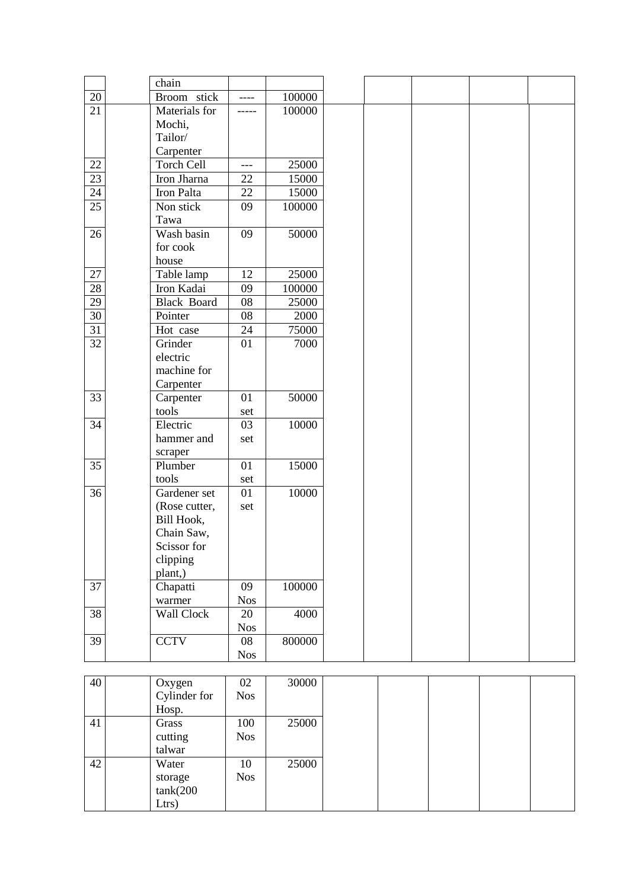|                 | chain              |            |        |  |  |
|-----------------|--------------------|------------|--------|--|--|
| 20              | Broom stick        | ----       | 100000 |  |  |
| 21              | Materials for      | -----      | 100000 |  |  |
|                 | Mochi,             |            |        |  |  |
|                 | Tailor/            |            |        |  |  |
|                 | Carpenter          |            |        |  |  |
| 22              | Torch Cell         | $---$      | 25000  |  |  |
| 23              | Iron Jharna        | 22         | 15000  |  |  |
| 24              | Iron Palta         | 22         | 15000  |  |  |
| $\overline{25}$ | Non stick          | 09         | 100000 |  |  |
|                 | Tawa               |            |        |  |  |
| 26              | Wash basin         | 09         | 50000  |  |  |
|                 | for cook           |            |        |  |  |
|                 | house              |            |        |  |  |
| 27              | Table lamp         | 12         | 25000  |  |  |
| 28              | Iron Kadai         | 09         | 100000 |  |  |
| 29              | <b>Black Board</b> | 08         | 25000  |  |  |
| $\overline{30}$ | Pointer            | 08         | 2000   |  |  |
| 31              | Hot case           | 24         | 75000  |  |  |
| 32              | Grinder            | 01         | 7000   |  |  |
|                 | electric           |            |        |  |  |
|                 | machine for        |            |        |  |  |
|                 | Carpenter          |            |        |  |  |
| 33              | Carpenter          | 01         | 50000  |  |  |
|                 | tools              | set        |        |  |  |
| 34              | Electric           | 03         | 10000  |  |  |
|                 | hammer and         | set        |        |  |  |
|                 | scraper            |            |        |  |  |
| 35              | Plumber            | 01         | 15000  |  |  |
|                 | tools              | set        |        |  |  |
| 36              | Gardener set       | 01         | 10000  |  |  |
|                 | (Rose cutter,      | set        |        |  |  |
|                 | Bill Hook,         |            |        |  |  |
|                 | Chain Saw,         |            |        |  |  |
|                 | Scissor for        |            |        |  |  |
|                 | clipping           |            |        |  |  |
|                 | plant,)            |            |        |  |  |
| 37              | Chapatti           | 09         | 100000 |  |  |
|                 | warmer             | <b>Nos</b> |        |  |  |
| 38              | Wall Clock         | 20         | 4000   |  |  |
|                 |                    | <b>Nos</b> |        |  |  |
| 39              | <b>CCTV</b>        | 08         | 800000 |  |  |
|                 |                    | <b>Nos</b> |        |  |  |

| 40 | Oxygen<br>Cylinder for<br>Hosp.        | 02<br><b>Nos</b>  | 30000 |
|----|----------------------------------------|-------------------|-------|
| 41 | Grass<br>cutting<br>talwar             | 100<br><b>Nos</b> | 25000 |
| 42 | Water<br>storage<br>tank(200)<br>Ltrs) | 10<br><b>Nos</b>  | 25000 |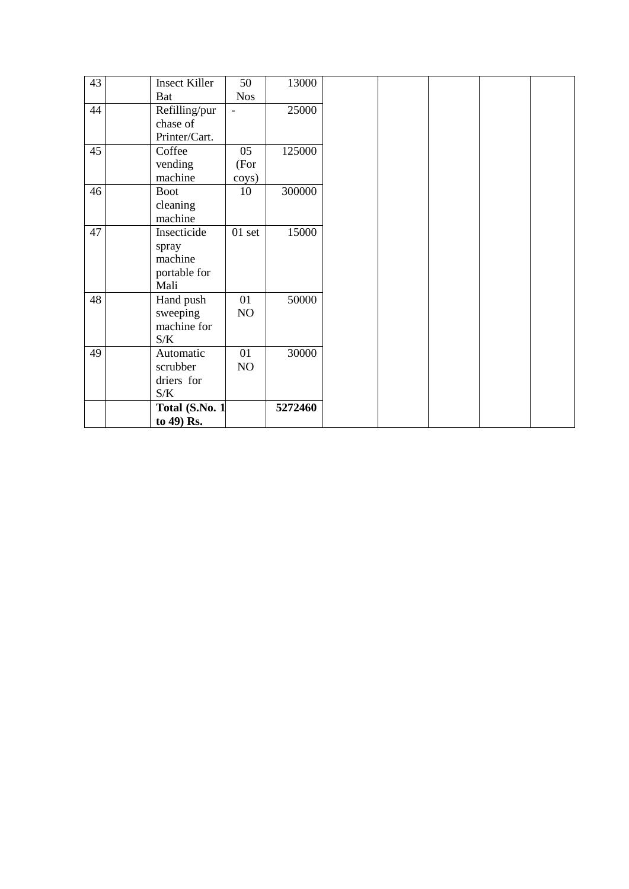| 43 | <b>Insect Killer</b> | 50         | 13000   |
|----|----------------------|------------|---------|
|    | <b>Bat</b>           | <b>Nos</b> |         |
| 44 | Refilling/pur        |            | 25000   |
|    | chase of             |            |         |
|    | Printer/Cart.        |            |         |
| 45 | Coffee               | 05         | 125000  |
|    | vending              | (For       |         |
|    | machine              | coys)      |         |
| 46 | <b>Boot</b>          | 10         | 300000  |
|    | cleaning             |            |         |
|    | machine              |            |         |
| 47 | Insecticide          | $01$ set   | 15000   |
|    | spray                |            |         |
|    | machine              |            |         |
|    | portable for         |            |         |
|    | Mali                 |            |         |
| 48 | Hand push            | 01         | 50000   |
|    | sweeping             | NO         |         |
|    | machine for          |            |         |
|    | S/K                  |            |         |
| 49 | Automatic            | 01         | 30000   |
|    | scrubber             | NO         |         |
|    | driers for           |            |         |
|    | S/K                  |            |         |
|    | Total (S.No. 1       |            | 5272460 |
|    | to 49) Rs.           |            |         |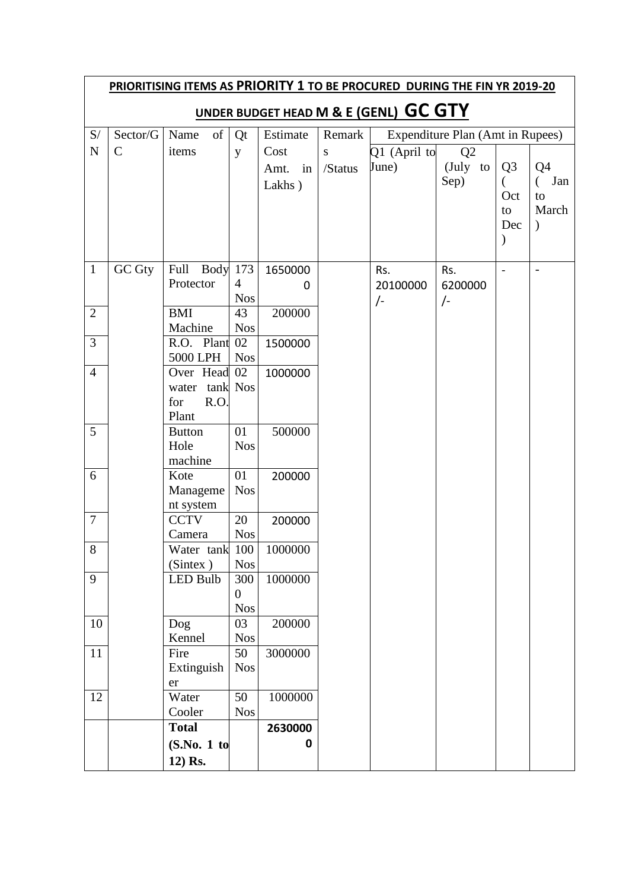|                |               |                          |                  |            |           | PRIORITISING ITEMS AS PRIORITY 1 TO BE PROCURED DURING THE FIN YR 2019-20 |                                  |                |                          |
|----------------|---------------|--------------------------|------------------|------------|-----------|---------------------------------------------------------------------------|----------------------------------|----------------|--------------------------|
|                |               |                          |                  |            |           | UNDER BUDGET HEAD M & E (GENL) GC GTY                                     |                                  |                |                          |
| S/             | Sector/G      | of<br>Name               | Qt               | Estimate   | Remark    |                                                                           | Expenditure Plan (Amt in Rupees) |                |                          |
| ${\bf N}$      | $\mathsf{C}$  | items                    | y                | Cost       | ${\bf S}$ | $Q1$ (April to                                                            | Q2                               |                |                          |
|                |               |                          |                  | in<br>Amt. | /Status   | June)                                                                     | (July to                         | Q <sub>3</sub> | Q <sub>4</sub>           |
|                |               |                          |                  | Lakhs)     |           |                                                                           | Sep)                             |                | Jan<br>€                 |
|                |               |                          |                  |            |           |                                                                           |                                  | Oct            | to                       |
|                |               |                          |                  |            |           |                                                                           |                                  | to<br>Dec      | March<br>$\mathcal{E}$   |
|                |               |                          |                  |            |           |                                                                           |                                  |                |                          |
|                |               |                          |                  |            |           |                                                                           |                                  |                |                          |
| $\mathbf{1}$   | <b>GC Gty</b> | <b>Body</b> 173<br>Full  |                  | 1650000    |           | Rs.                                                                       | Rs.                              | $\blacksquare$ | $\overline{\phantom{a}}$ |
|                |               | Protector                | $\overline{4}$   | 0          |           | 20100000                                                                  | 6200000                          |                |                          |
|                |               |                          | <b>Nos</b>       |            |           | $\sqrt{-}$                                                                | $\sqrt{-}$                       |                |                          |
| $\overline{2}$ |               | <b>BMI</b><br>Machine    | 43<br><b>Nos</b> | 200000     |           |                                                                           |                                  |                |                          |
| $\overline{3}$ |               | R.O. Plant               | 02               | 1500000    |           |                                                                           |                                  |                |                          |
|                |               | 5000 LPH                 | <b>Nos</b>       |            |           |                                                                           |                                  |                |                          |
| $\overline{4}$ |               | Over Head                | 02               | 1000000    |           |                                                                           |                                  |                |                          |
|                |               | water tank Nos           |                  |            |           |                                                                           |                                  |                |                          |
|                |               | R.O.<br>for              |                  |            |           |                                                                           |                                  |                |                          |
| 5              |               | Plant                    | 01               | 500000     |           |                                                                           |                                  |                |                          |
|                |               | <b>Button</b><br>Hole    | <b>Nos</b>       |            |           |                                                                           |                                  |                |                          |
|                |               | machine                  |                  |            |           |                                                                           |                                  |                |                          |
| 6              |               | Kote                     | 01               | 200000     |           |                                                                           |                                  |                |                          |
|                |               | Manageme                 | <b>Nos</b>       |            |           |                                                                           |                                  |                |                          |
|                |               | nt system                |                  |            |           |                                                                           |                                  |                |                          |
| $\overline{7}$ |               | <b>CCTV</b>              | 20               | 200000     |           |                                                                           |                                  |                |                          |
| $8\,$          |               | Camera<br>Water tank 100 | <b>Nos</b>       | 1000000    |           |                                                                           |                                  |                |                          |
|                |               | (Sinter)                 | <b>Nos</b>       |            |           |                                                                           |                                  |                |                          |
| 9              |               | <b>LED Bulb</b>          | 300              | 1000000    |           |                                                                           |                                  |                |                          |
|                |               |                          | $\overline{0}$   |            |           |                                                                           |                                  |                |                          |
|                |               |                          | <b>Nos</b>       |            |           |                                                                           |                                  |                |                          |
| 10             |               | Dog                      | 03               | 200000     |           |                                                                           |                                  |                |                          |
|                |               | Kennel                   | <b>Nos</b>       |            |           |                                                                           |                                  |                |                          |
| 11             |               | Fire<br>Extinguish       | 50<br><b>Nos</b> | 3000000    |           |                                                                           |                                  |                |                          |
|                |               | er                       |                  |            |           |                                                                           |                                  |                |                          |
| 12             |               | Water                    | 50               | 1000000    |           |                                                                           |                                  |                |                          |
|                |               | Cooler                   | <b>Nos</b>       |            |           |                                                                           |                                  |                |                          |
|                |               | <b>Total</b>             |                  | 2630000    |           |                                                                           |                                  |                |                          |
|                |               | (S.No. 1 to              |                  | 0          |           |                                                                           |                                  |                |                          |
|                |               | 12) Rs.                  |                  |            |           |                                                                           |                                  |                |                          |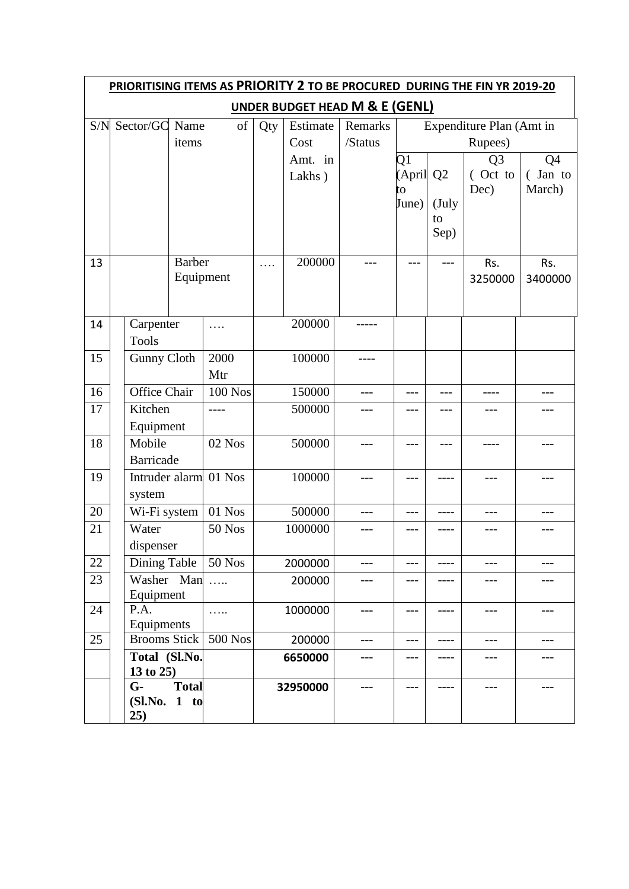|     | PRIORITISING ITEMS AS PRIORITY 2 TO BE PROCURED DURING THE FIN YR 2019-20 |                            |                |     |          |         |             |                |                |         |  |  |
|-----|---------------------------------------------------------------------------|----------------------------|----------------|-----|----------|---------|-------------|----------------|----------------|---------|--|--|
|     | <b>UNDER BUDGET HEAD M &amp; E (GENL)</b><br>Expenditure Plan (Amt in     |                            |                |     |          |         |             |                |                |         |  |  |
| S/N | Sector/GC                                                                 | Name                       | of             | Qty | Estimate | Remarks |             |                |                |         |  |  |
|     |                                                                           | items                      |                |     | Cost     | /Status |             |                | Rupees)        |         |  |  |
|     |                                                                           |                            |                |     | Amt. in  |         | Q1          |                | Q <sub>3</sub> | Q4      |  |  |
|     |                                                                           |                            |                |     | Lakhs)   |         | (April      | Q <sub>2</sub> | (Oct to        | (Jan to |  |  |
|     |                                                                           |                            |                |     |          |         | to<br>June) | (July          | Dec)           | March)  |  |  |
|     |                                                                           |                            |                |     |          |         |             | to             |                |         |  |  |
|     |                                                                           |                            |                |     |          |         |             | Sep)           |                |         |  |  |
|     |                                                                           |                            |                |     |          |         |             |                |                |         |  |  |
| 13  |                                                                           | <b>Barber</b><br>Equipment |                | .   | 200000   | $- - -$ | ---         | $---$          | Rs.            | Rs.     |  |  |
|     |                                                                           |                            |                |     |          |         |             |                | 3250000        | 3400000 |  |  |
|     |                                                                           |                            |                |     |          |         |             |                |                |         |  |  |
| 14  | Carpenter                                                                 |                            | .              |     | 200000   |         |             |                |                |         |  |  |
|     | <b>Tools</b>                                                              |                            |                |     |          |         |             |                |                |         |  |  |
| 15  | Gunny Cloth                                                               |                            | 2000           |     | 100000   | ----    |             |                |                |         |  |  |
|     |                                                                           |                            | Mtr            |     |          |         |             |                |                |         |  |  |
| 16  | Office Chair                                                              |                            | <b>100 Nos</b> |     | 150000   | ---     | $---$       | ---            | ----           | ---     |  |  |
| 17  | Kitchen                                                                   |                            | ----           |     | 500000   |         | $---$       |                | ---            | ---     |  |  |
|     | Equipment<br>Mobile                                                       |                            |                |     |          |         |             |                |                |         |  |  |
| 18  | <b>Barricade</b>                                                          |                            | $02$ Nos       |     | 500000   | ---     | ---         | ---            |                | ---     |  |  |
| 19  | Intruder alarm                                                            |                            | 01 Nos         |     | 100000   | ---     | $---$       | ----           | ---            | ---     |  |  |
|     | system                                                                    |                            |                |     |          |         |             |                |                |         |  |  |
| 20  | Wi-Fi system                                                              |                            | 01 Nos         |     | 500000   | ---     | $---$       | ----           | ---            | ---     |  |  |
| 21  | Water                                                                     |                            | <b>50 Nos</b>  |     | 1000000  |         | $---$       | ----           | ---            | ---     |  |  |
|     | dispenser                                                                 |                            |                |     |          |         |             |                |                |         |  |  |
| 22  | Dining Table                                                              |                            | <b>50 Nos</b>  |     | 2000000  | ---     | $---$       | ----           | ---            | ---     |  |  |
| 23  | Washer Man                                                                |                            |                |     | 200000   | ---     | ---         |                | ---            | ---     |  |  |
|     | Equipment                                                                 |                            |                |     |          |         |             |                |                |         |  |  |
| 24  | P.A.<br>Equipments                                                        |                            | .              |     | 1000000  | ---     | $---$       | ----           | ---            | ---     |  |  |
| 25  | <b>Brooms Stick</b>                                                       |                            | 500 Nos        |     | 200000   | ---     | $---$       | ----           | ---            | ---     |  |  |
|     | Total (Sl.No.                                                             |                            |                |     | 6650000  | ---     | ---         | ----           | ---            | ---     |  |  |
|     | 13 to 25)                                                                 |                            |                |     |          |         |             |                |                |         |  |  |
|     | $G-$                                                                      | <b>Total</b>               |                |     | 32950000 | ---     | $---$       | ----           | ---            | ---     |  |  |
|     | (Sl.No.                                                                   | $1$ to                     |                |     |          |         |             |                |                |         |  |  |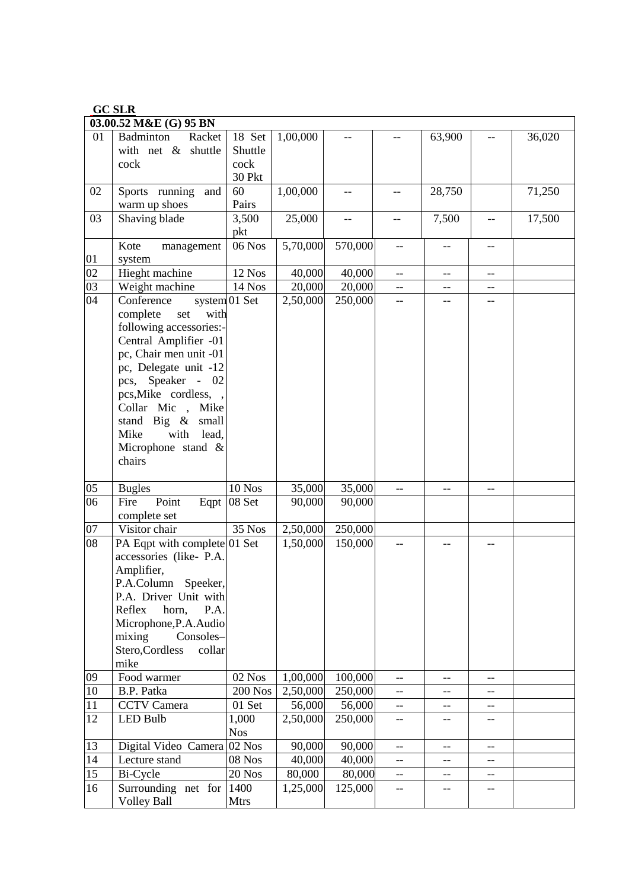|--|

|    | 03.00.52 M&E (G) 95 BN                        |                 |          |         |     |         |                                       |        |
|----|-----------------------------------------------|-----------------|----------|---------|-----|---------|---------------------------------------|--------|
| 01 | Badminton<br>Racket                           | 18 Set          | 1,00,000 |         |     | 63,900  |                                       | 36,020 |
|    | with net & shuttle                            | Shuttle         |          |         |     |         |                                       |        |
|    | cock                                          | cock            |          |         |     |         |                                       |        |
|    |                                               | 30 Pkt          |          |         |     |         |                                       |        |
| 02 | Sports running<br>and                         | 60              | 1,00,000 | --      | --  | 28,750  |                                       | 71,250 |
|    | warm up shoes                                 | Pairs           |          |         |     |         |                                       |        |
| 03 | Shaving blade                                 | 3,500           | 25,000   | $-$     | --  | 7,500   |                                       | 17,500 |
|    | Kote                                          | pkt<br>$06$ Nos | 5,70,000 | 570,000 | --  |         |                                       |        |
| 01 | management<br>system                          |                 |          |         |     | --      |                                       |        |
| 02 | Hieght machine                                | 12 Nos          | 40,000   | 40,000  | $-$ | $-$     | $-$                                   |        |
| 03 | Weight machine                                | 14 Nos          | 20,000   | 20,000  | --  | $- -$   | --                                    |        |
| 04 | Conference                                    | system 01 Set   | 2,50,000 | 250,000 | --  | --      | --                                    |        |
|    | complete<br>set<br>with                       |                 |          |         |     |         |                                       |        |
|    | following accessories:-                       |                 |          |         |     |         |                                       |        |
|    | Central Amplifier -01                         |                 |          |         |     |         |                                       |        |
|    | pc, Chair men unit -01                        |                 |          |         |     |         |                                       |        |
|    | pc, Delegate unit -12                         |                 |          |         |     |         |                                       |        |
|    | pcs, Speaker -<br>- 02                        |                 |          |         |     |         |                                       |        |
|    | pcs, Mike cordless, ,                         |                 |          |         |     |         |                                       |        |
|    | Collar Mic,<br>Mike                           |                 |          |         |     |         |                                       |        |
|    | stand Big $\&$<br>small                       |                 |          |         |     |         |                                       |        |
|    | with<br>Mike<br>lead,                         |                 |          |         |     |         |                                       |        |
|    | Microphone stand &                            |                 |          |         |     |         |                                       |        |
|    | chairs                                        |                 |          |         |     |         |                                       |        |
| 05 | <b>Bugles</b>                                 | $10$ Nos        | 35,000   | 35,000  | --  | $-$     |                                       |        |
| 06 | Point<br>Fire<br>Eqpt                         | 08 Set          | 90,000   | 90,000  |     |         |                                       |        |
|    | complete set                                  |                 |          |         |     |         |                                       |        |
| 07 | Visitor chair                                 | 35 Nos          | 2,50,000 | 250,000 |     |         |                                       |        |
| 08 | PA Eqpt with complete 01 Set                  |                 | 1,50,000 | 150,000 |     |         |                                       |        |
|    | accessories (like- P.A.                       |                 |          |         |     |         |                                       |        |
|    | Amplifier,                                    |                 |          |         |     |         |                                       |        |
|    | P.A.Column<br>Speeker,                        |                 |          |         |     |         |                                       |        |
|    | P.A. Driver Unit with                         |                 |          |         |     |         |                                       |        |
|    | Reflex<br>horn,<br>P.A.                       |                 |          |         |     |         |                                       |        |
|    | Microphone, P.A. Audio<br>mixing<br>Consoles- |                 |          |         |     |         |                                       |        |
|    | Stero, Cordless<br>collar                     |                 |          |         |     |         |                                       |        |
|    | mike                                          |                 |          |         |     |         |                                       |        |
| 09 | Food warmer                                   | 02 Nos          | 1,00,000 | 100,000 | --  | --      | $-$                                   |        |
| 10 | B.P. Patka                                    | <b>200 Nos</b>  | 2,50,000 | 250,000 | --  | --      | --                                    |        |
| 11 | <b>CCTV</b> Camera                            | 01 Set          | 56,000   | 56,000  | $-$ | $-\!$ – | $\hspace{0.05cm}$ – $\hspace{0.05cm}$ |        |
| 12 | <b>LED Bulb</b>                               | 1,000           | 2,50,000 | 250,000 | --  | --      | --                                    |        |
|    |                                               | <b>Nos</b>      |          |         |     |         |                                       |        |
| 13 | Digital Video Camera 02 Nos                   |                 | 90,000   | 90,000  | $-$ | $-$     | $-$                                   |        |
| 14 | Lecture stand                                 | 08 Nos          | 40,000   | 40,000  | --  | --      | --                                    |        |
| 15 | Bi-Cycle                                      | $20$ Nos        | 80,000   | 80,000  | --  | --      | --                                    |        |
| 16 | Surrounding net for                           | 1400            | 1,25,000 | 125,000 | --  | --      | --                                    |        |
|    | <b>Volley Ball</b>                            | <b>Mtrs</b>     |          |         |     |         |                                       |        |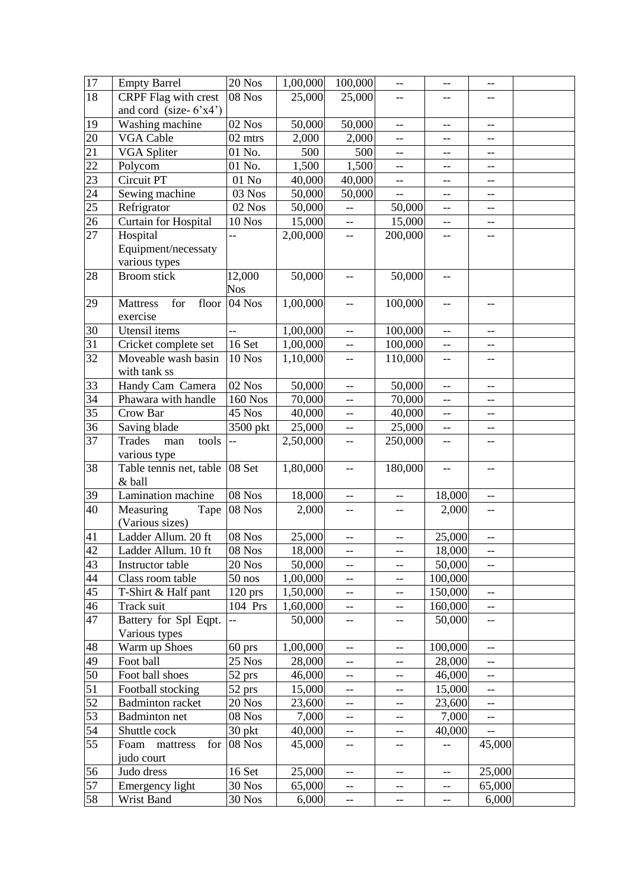| 17              | <b>Empty Barrel</b>                    | 20 Nos              | 1,00,000           | 100,000                  | $-$               | $-$                                                  | $-$                      |  |
|-----------------|----------------------------------------|---------------------|--------------------|--------------------------|-------------------|------------------------------------------------------|--------------------------|--|
| 18              | <b>CRPF</b> Flag with crest            | 08 Nos              | 25,000             | 25,000                   | --                | $-$                                                  | --                       |  |
|                 | and cord (size- $6'x4'$ )              |                     |                    |                          |                   |                                                      |                          |  |
| 19              | Washing machine                        | $\overline{0}2$ Nos | 50,000             | 50,000                   | $-$               | $-$                                                  | $-$                      |  |
| 20              | <b>VGA Cable</b>                       | 02 mtrs             | 2,000              | 2,000                    | --                | $-$                                                  | --                       |  |
| 21              | <b>VGA Spliter</b>                     | 01 No.              | 500                | 500                      | --                | --                                                   | --                       |  |
| 22              | Polycom                                | 01 No.              | 1,500              | 1,500                    | --                | $-$                                                  | --                       |  |
| 23              | Circuit PT                             | $01$ No             | 40,000             | 40,000                   | --                | --                                                   | $-$                      |  |
| $\overline{24}$ | Sewing machine                         | 03 Nos              | 50,000             | 50,000                   | $-$               | $-$                                                  | --                       |  |
| 25              | Refrigrator                            | 02 Nos              | 50,000             | $-$                      | 50,000            | $\overline{a}$                                       | --                       |  |
| 26              | Curtain for Hospital                   | $10$ $\rm Nos$      | 15,000             | $\overline{\phantom{a}}$ | 15,000            | $\overline{\phantom{a}}$                             | $-$                      |  |
| 27              | Hospital                               |                     | 2,00,000           | $-$                      | 200,000           | $-$                                                  | --                       |  |
|                 | Equipment/necessaty                    |                     |                    |                          |                   |                                                      |                          |  |
|                 | various types                          |                     |                    |                          |                   |                                                      |                          |  |
| 28              | Broom stick                            | 12,000              | 50,000             | $-\,-$                   | 50,000            | $-$                                                  |                          |  |
|                 |                                        | <b>Nos</b>          |                    |                          |                   |                                                      |                          |  |
| 29              | <b>Mattress</b><br>for<br>floor        | 04 Nos              | 1,00,000           | $-$                      | 100,000           | $\overline{a}$                                       | --                       |  |
|                 | exercise                               |                     |                    |                          |                   |                                                      |                          |  |
| 30              | Utensil items                          | $\overline{a}$      | 1,00,000           | $\overline{\phantom{a}}$ | 100,000           | $-$                                                  | --                       |  |
| 31              | Cricket complete set                   | 16 Set              | 1,00,000           | $\overline{\phantom{a}}$ | 100,000           | $\overline{\phantom{a}}$                             | $-$                      |  |
| 32              | Moveable wash basin                    | <b>10 Nos</b>       | 1,10,000           | $-$                      | 110,000           | $-$                                                  | --                       |  |
|                 | with tank ss                           |                     |                    |                          |                   |                                                      |                          |  |
| 33              | Handy Cam Camera                       | 02 Nos              | 50,000             | $-\,-$                   | 50,000            | $\overline{a}$                                       | $-$                      |  |
| $\overline{34}$ | Phawara with handle                    | <b>160 Nos</b>      | 70,000             | $-$                      | 70,000            | $-$                                                  | --                       |  |
| 35              | Crow Bar                               | 45 Nos              | 40,000             | $- -$                    | 40,000            | --                                                   | --                       |  |
| 36<br>37        | Saving blade<br>Trades<br>tools<br>man | 3500 pkt<br>$-$     | 25,000<br>2,50,000 | $-\!$ –                  | 25,000<br>250,000 | $\overline{\phantom{a}}$<br>$\overline{\phantom{a}}$ | --                       |  |
|                 | various type                           |                     |                    | $-$                      |                   |                                                      | --                       |  |
| 38              | Table tennis net, table   08 Set       |                     | 1,80,000           | $\qquad \qquad -$        | 180,000           | $\overline{\phantom{a}}$                             | --                       |  |
|                 | & ball                                 |                     |                    |                          |                   |                                                      |                          |  |
| 39              | Lamination machine                     | 08 Nos              | 18,000             | --                       | $-$               | 18,000                                               | --                       |  |
| 40              | Measuring                              | Tape   08 Nos       | 2,000              | $-\, -$                  | --                | 2,000                                                | --                       |  |
|                 | (Various sizes)                        |                     |                    |                          |                   |                                                      |                          |  |
| 41              | Ladder Allum. 20 ft                    | 08 Nos              | 25,000             | $\overline{\phantom{m}}$ | --                | 25,000                                               | $\overline{\phantom{a}}$ |  |
| 42              | Ladder Allum. 10 ft                    | $\overline{08}$ Nos | 18,000             | $\qquad \qquad -$        | --                | 18,000                                               | --                       |  |
| 43              | Instructor table                       | 20 Nos              | 50,000             | $-$                      | --                | 50,000                                               | $-$                      |  |
| 44              | Class room table                       | $50$ nos            | 1,00,000           | $-\!$ $\!-$              | --                | 100,000                                              |                          |  |
| 45              | T-Shirt & Half pant                    | $120$ prs           | 1,50,000           | $- -$                    | --                | 150,000                                              | --                       |  |
| 46              | Track suit                             | 104 Prs             | 1,60,000           | $-$                      | --                | 160,000                                              | $-$                      |  |
| 47              | Battery for Spl Eqpt.                  |                     | 50,000             | $-$                      | --                | 50,000                                               | --                       |  |
|                 | Various types                          |                     |                    |                          |                   |                                                      |                          |  |
| 48              | Warm up Shoes                          | $60$ prs            | 1,00,000           | $- \, -$                 | $-$               | 100,000                                              | --                       |  |
| 49              | Foot ball                              | 25 Nos              | 28,000             | $- \, -$                 | $- -$             | 28,000                                               | --                       |  |
| 50              | Foot ball shoes                        | 52 prs              | 46,000             | $\overline{\phantom{m}}$ | --                | 46,000                                               | --                       |  |
| 51              | Football stocking                      | 52 prs              | 15,000             | $-$                      | --                | 15,000                                               | --                       |  |
| $\overline{52}$ | <b>Badminton</b> racket                | 20 Nos              | 23,600             | $\qquad \qquad -$        | --                | 23,600                                               | --                       |  |
| 53              | <b>Badminton</b> net                   | 08 Nos              | 7,000              | $\overline{\phantom{a}}$ | --                | 7,000                                                | --                       |  |
| 54              | Shuttle cock                           | 30 pkt              | 40,000             | $- -$                    | --                | 40,000                                               | $\overline{\phantom{a}}$ |  |
| 55              | Foam<br>mattress<br>for                | 08 Nos              | 45,000             | $\qquad \qquad -$        | --                | --                                                   | 45,000                   |  |
|                 | judo court                             |                     |                    |                          |                   |                                                      |                          |  |
| 56              | Judo dress                             | 16 Set              | 25,000             | $-$                      | $-$               | $-$                                                  | 25,000                   |  |
| 57              | Emergency light                        | 30 Nos              | 65,000             | $\qquad \qquad -$        | --                | $- -$                                                | 65,000                   |  |
| 58              | Wrist Band                             | 30 Nos              | 6,000              | $ \hbox{--}$             | --                | --                                                   | 6,000                    |  |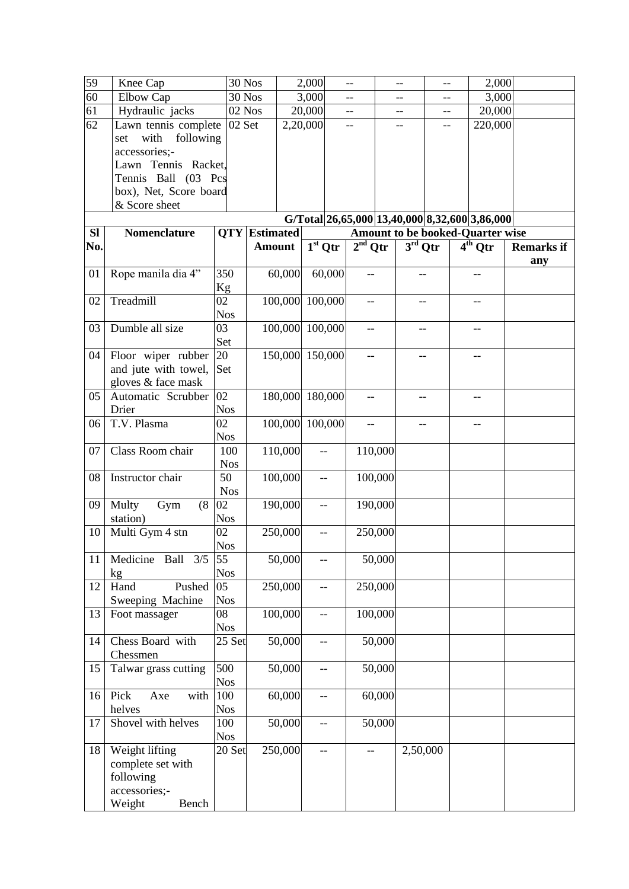| 59              | Knee Cap                          | 30 Nos           |                      |                 | 2,000                    |        | $-$                      |         | --        | --  | 2,000                                         |                   |
|-----------------|-----------------------------------|------------------|----------------------|-----------------|--------------------------|--------|--------------------------|---------|-----------|-----|-----------------------------------------------|-------------------|
| $\overline{60}$ | Elbow Cap                         | 30 Nos           |                      |                 | 3,000                    |        | --                       |         |           | --  | 3,000                                         |                   |
| 61              | Hydraulic jacks                   | 02 Nos           |                      |                 | 20,000                   |        | $\qquad \qquad -$        |         | --        | $-$ | 20,000                                        |                   |
| 62              | Lawn tennis complete              | 02 Set           |                      |                 | 2,20,000                 |        | $-$                      |         | $-$       | $-$ | 220,000                                       |                   |
|                 | with<br>following<br>set          |                  |                      |                 |                          |        |                          |         |           |     |                                               |                   |
|                 | accessories;-                     |                  |                      |                 |                          |        |                          |         |           |     |                                               |                   |
|                 | Lawn Tennis Racket,               |                  |                      |                 |                          |        |                          |         |           |     |                                               |                   |
|                 | Tennis Ball (03 Pcs               |                  |                      |                 |                          |        |                          |         |           |     |                                               |                   |
|                 | box), Net, Score board            |                  |                      |                 |                          |        |                          |         |           |     |                                               |                   |
|                 | & Score sheet                     |                  |                      |                 |                          |        |                          |         |           |     |                                               |                   |
|                 |                                   |                  |                      |                 |                          |        |                          |         |           |     | G/Total 26,65,000 13,40,000 8,32,600 3,86,000 |                   |
| <b>Sl</b>       | Nomenclature                      |                  | <b>QTY</b> Estimated |                 |                          |        |                          |         |           |     | <b>Amount to be booked-Quarter wise</b>       |                   |
| No.             |                                   |                  | <b>Amount</b>        |                 | $1st$ Qtr                |        | $2nd$ Qtr                |         | $3rd$ Qtr |     | $4th$ Qtr                                     | <b>Remarks if</b> |
|                 |                                   |                  |                      |                 |                          |        |                          |         |           |     |                                               | any               |
| 01              | Rope manila dia 4"                | 350              |                      | 60,000          |                          | 60,000 |                          |         | $-$       |     |                                               |                   |
|                 |                                   | Kg               |                      |                 |                          |        |                          |         |           |     |                                               |                   |
| 02              | Treadmill                         | 02               |                      | 100,000 100,000 |                          |        | $-$                      |         | --        |     | --                                            |                   |
|                 |                                   | <b>Nos</b>       |                      |                 |                          |        |                          |         |           |     |                                               |                   |
| 03              | Dumble all size                   | 03               |                      | 100,000 100,000 |                          |        |                          |         |           |     |                                               |                   |
|                 |                                   | Set              |                      |                 |                          |        |                          |         |           |     |                                               |                   |
| 04              | Floor wiper rubber                | 20               |                      | 150,000 150,000 |                          |        |                          |         | --        |     |                                               |                   |
|                 | and jute with towel,              | Set              |                      |                 |                          |        |                          |         |           |     |                                               |                   |
|                 | gloves & face mask                |                  |                      |                 |                          |        |                          |         |           |     |                                               |                   |
| 05              | Automatic Scrubber                | 02               |                      | 180,000 180,000 |                          |        | --                       |         | --        |     |                                               |                   |
|                 | Drier                             | <b>Nos</b>       |                      |                 |                          |        |                          |         |           |     |                                               |                   |
| 06              | T.V. Plasma                       | 02               |                      | 100,000 100,000 |                          |        |                          |         |           |     |                                               |                   |
|                 |                                   | <b>Nos</b>       |                      |                 |                          |        |                          |         |           |     |                                               |                   |
| 07              | Class Room chair                  | 100              |                      | 110,000         | $-$                      |        |                          | 110,000 |           |     |                                               |                   |
|                 |                                   | <b>Nos</b>       |                      |                 |                          |        |                          |         |           |     |                                               |                   |
| 08              | Instructor chair                  | 50               |                      | 100,000         | $\overline{\phantom{a}}$ |        |                          | 100,000 |           |     |                                               |                   |
|                 |                                   | <b>Nos</b>       |                      |                 |                          |        |                          |         |           |     |                                               |                   |
| 09              | Multy<br>Gym<br>(8)               | 02               |                      | 190,000         | $-$                      |        |                          | 190,000 |           |     |                                               |                   |
|                 | station)                          | <b>Nos</b>       |                      |                 |                          |        |                          |         |           |     |                                               |                   |
| 10              | Multi Gym 4 stn                   | 02               |                      | 250,000         |                          |        |                          | 250,000 |           |     |                                               |                   |
|                 |                                   | <b>Nos</b>       |                      |                 |                          |        |                          |         |           |     |                                               |                   |
| 11              | 3/5<br>Medicine<br>Ball           | 55               |                      | 50,000          | --                       |        |                          | 50,000  |           |     |                                               |                   |
|                 | kg                                | <b>Nos</b><br>05 |                      |                 |                          |        |                          |         |           |     |                                               |                   |
| 12              | Hand<br>Pushed                    | <b>Nos</b>       |                      | 250,000         | $-$                      |        |                          | 250,000 |           |     |                                               |                   |
| 13              | Sweeping Machine<br>Foot massager | 08               |                      | 100,000         | $-$                      |        |                          | 100,000 |           |     |                                               |                   |
|                 |                                   | <b>Nos</b>       |                      |                 |                          |        |                          |         |           |     |                                               |                   |
| 14              | Chess Board with                  | 25 Set           |                      | 50,000          | --                       |        |                          | 50,000  |           |     |                                               |                   |
|                 | Chessmen                          |                  |                      |                 |                          |        |                          |         |           |     |                                               |                   |
| 15              | Talwar grass cutting              | 500              |                      | 50,000          | $-$                      |        |                          | 50,000  |           |     |                                               |                   |
|                 |                                   | <b>Nos</b>       |                      |                 |                          |        |                          |         |           |     |                                               |                   |
| 16              | Pick<br>Axe<br>with               | 100              |                      | 60,000          | --                       |        |                          | 60,000  |           |     |                                               |                   |
|                 | helves                            | <b>Nos</b>       |                      |                 |                          |        |                          |         |           |     |                                               |                   |
| 17              | Shovel with helves                | 100              |                      | 50,000          | $-$                      |        |                          | 50,000  |           |     |                                               |                   |
|                 |                                   | <b>Nos</b>       |                      |                 |                          |        |                          |         |           |     |                                               |                   |
| 18              | Weight lifting                    | 20 Set           |                      | 250,000         | $-$                      |        | $\overline{\phantom{m}}$ |         | 2,50,000  |     |                                               |                   |
|                 | complete set with                 |                  |                      |                 |                          |        |                          |         |           |     |                                               |                   |
|                 | following                         |                  |                      |                 |                          |        |                          |         |           |     |                                               |                   |
|                 | accessories;-                     |                  |                      |                 |                          |        |                          |         |           |     |                                               |                   |
|                 | Weight<br>Bench                   |                  |                      |                 |                          |        |                          |         |           |     |                                               |                   |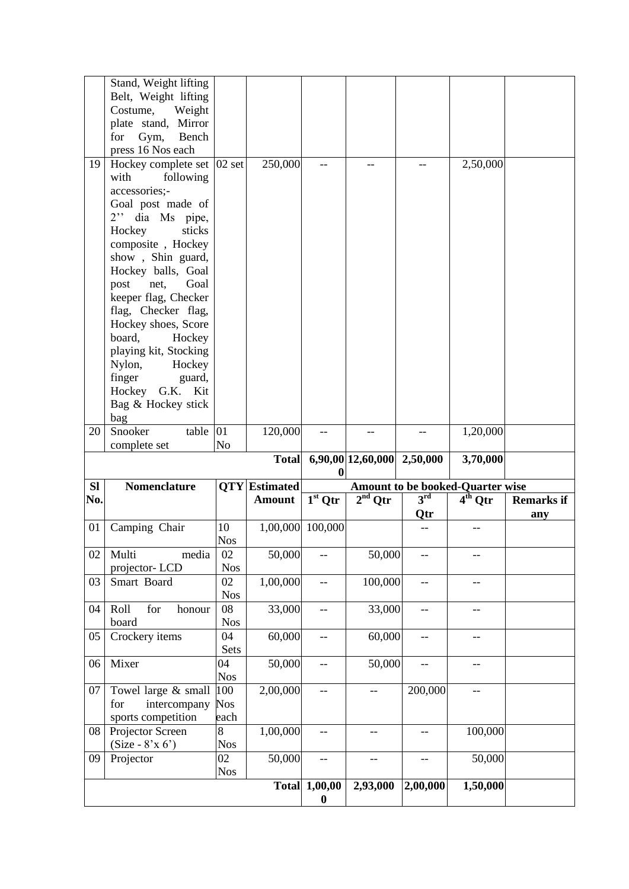|     | Stand, Weight lifting<br>Belt, Weight lifting<br>Costume,<br>Weight                               |                    |                      |                         |                            |                     |                                         |                          |
|-----|---------------------------------------------------------------------------------------------------|--------------------|----------------------|-------------------------|----------------------------|---------------------|-----------------------------------------|--------------------------|
|     | plate stand, Mirror<br>for<br>Gym,<br>Bench                                                       |                    |                      |                         |                            |                     |                                         |                          |
|     | press 16 Nos each                                                                                 |                    |                      |                         |                            |                     |                                         |                          |
| 19  | Hockey complete set $ 02 \text{ set} $<br>following<br>with<br>accessories:-<br>Goal post made of |                    | 250,000              |                         |                            |                     | 2,50,000                                |                          |
|     | 2" dia Ms pipe,<br>Hockey<br>sticks<br>composite, Hockey                                          |                    |                      |                         |                            |                     |                                         |                          |
|     | show, Shin guard,<br>Hockey balls, Goal<br>post<br>Goal<br>net,                                   |                    |                      |                         |                            |                     |                                         |                          |
|     | keeper flag, Checker<br>flag, Checker flag,<br>Hockey shoes, Score                                |                    |                      |                         |                            |                     |                                         |                          |
|     | board,<br>Hockey<br>playing kit, Stocking<br>Nylon, Hockey                                        |                    |                      |                         |                            |                     |                                         |                          |
|     | finger<br>guard,<br>Hockey G.K. Kit<br>Bag & Hockey stick<br>bag                                  |                    |                      |                         |                            |                     |                                         |                          |
| 20  | Snooker<br>table<br>complete set                                                                  | 01<br>No           | 120,000              | $-$                     | $-$                        | $\qquad \qquad -$   | 1,20,000                                |                          |
|     |                                                                                                   |                    |                      |                         |                            |                     |                                         |                          |
|     |                                                                                                   |                    | <b>Total</b>         | $\bf{0}$                | 6,90,00 12,60,000 2,50,000 |                     | 3,70,000                                |                          |
| SI  | <b>Nomenclature</b>                                                                               |                    | <b>QTY</b> Estimated |                         |                            |                     | <b>Amount to be booked-Quarter wise</b> |                          |
| No. |                                                                                                   |                    | <b>Amount</b>        | $\overline{1^{st}}$ Qtr | $2nd$ Qtr                  | $3^{\rm rd}$<br>Qtr | $\overline{4^{th}}$ Qtr                 | <b>Remarks if</b><br>any |
| 01  | Camping Chair                                                                                     | 10<br><b>Nos</b>   |                      | 1,00,000 100,000        |                            |                     |                                         |                          |
| 02  | Multi<br>media<br>projector-LCD                                                                   | 02<br><b>Nos</b>   | 50,000               |                         | 50,000                     |                     |                                         |                          |
| 03  | Smart Board                                                                                       | 02<br><b>Nos</b>   | 1,00,000             | --                      | 100,000                    | --                  | --                                      |                          |
| 04  | Roll<br>honour<br>for<br>board                                                                    | 08<br><b>Nos</b>   | 33,000               | --                      | 33,000                     | $-$                 | --                                      |                          |
| 05  | Crockery items                                                                                    | 04<br>Sets         | 60,000               | --                      | 60,000                     | $-$                 |                                         |                          |
| 06  | Mixer                                                                                             | 04<br><b>Nos</b>   | 50,000               | --                      | 50,000                     | --                  | --                                      |                          |
| 07  | Towel large & small<br>intercompany<br>for<br>sports competition                                  | 100<br>Nos<br>each | 2,00,000             | --                      | --                         | 200,000             | --                                      |                          |
| 08  | Projector Screen<br>$(Size - 8'x 6')$                                                             | 8<br><b>Nos</b>    | 1,00,000             | --                      |                            |                     | 100,000                                 |                          |
| 09  | Projector                                                                                         | 02<br><b>Nos</b>   | 50,000               | --<br>1,00,00           | --                         |                     | 50,000<br>1,50,000                      |                          |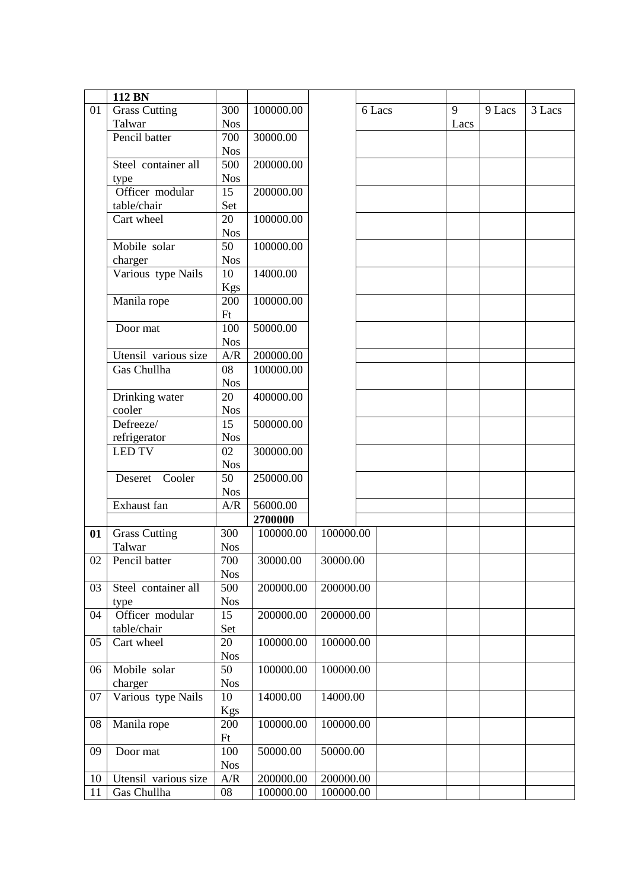|    | 112 BN               |            |           |           |        |      |          |        |
|----|----------------------|------------|-----------|-----------|--------|------|----------|--------|
| 01 | <b>Grass Cutting</b> | 300        | 100000.00 |           | 6 Lacs | 9    | $9$ Lacs | 3 Lacs |
|    | Talwar               | <b>Nos</b> |           |           |        | Lacs |          |        |
|    | Pencil batter        | 700        | 30000.00  |           |        |      |          |        |
|    |                      | <b>Nos</b> |           |           |        |      |          |        |
|    | Steel container all  | 500        | 200000.00 |           |        |      |          |        |
|    | type                 | <b>Nos</b> |           |           |        |      |          |        |
|    | Officer modular      | 15         | 200000.00 |           |        |      |          |        |
|    | table/chair          | Set        |           |           |        |      |          |        |
|    | Cart wheel           | 20         | 100000.00 |           |        |      |          |        |
|    |                      | <b>Nos</b> |           |           |        |      |          |        |
|    | Mobile solar         | 50         | 100000.00 |           |        |      |          |        |
|    | charger              | <b>Nos</b> |           |           |        |      |          |        |
|    | Various type Nails   | 10         | 14000.00  |           |        |      |          |        |
|    |                      | Kgs        |           |           |        |      |          |        |
|    | Manila rope          | 200        | 100000.00 |           |        |      |          |        |
|    |                      | Ft         |           |           |        |      |          |        |
|    | Door mat             | 100        | 50000.00  |           |        |      |          |        |
|    |                      | <b>Nos</b> |           |           |        |      |          |        |
|    | Utensil various size | A/R        | 200000.00 |           |        |      |          |        |
|    | Gas Chullha          | 08         | 100000.00 |           |        |      |          |        |
|    |                      | <b>Nos</b> |           |           |        |      |          |        |
|    | Drinking water       | 20         | 400000.00 |           |        |      |          |        |
|    | cooler               | <b>Nos</b> |           |           |        |      |          |        |
|    | Defreeze/            | 15         | 500000.00 |           |        |      |          |        |
|    | refrigerator         | <b>Nos</b> |           |           |        |      |          |        |
|    | <b>LED TV</b>        | 02         | 300000.00 |           |        |      |          |        |
|    |                      | <b>Nos</b> |           |           |        |      |          |        |
|    | Cooler<br>Deseret    | 50         | 250000.00 |           |        |      |          |        |
|    |                      | <b>Nos</b> |           |           |        |      |          |        |
|    | Exhaust fan          | A/R        | 56000.00  |           |        |      |          |        |
|    |                      |            | 2700000   |           |        |      |          |        |
| 01 | <b>Grass Cutting</b> | 300        | 100000.00 | 100000.00 |        |      |          |        |
|    | Talwar               | <b>Nos</b> |           |           |        |      |          |        |
| 02 | Pencil batter        | 700        | 30000.00  | 30000.00  |        |      |          |        |
|    |                      | <b>Nos</b> |           |           |        |      |          |        |
| 03 | Steel container all  | 500        | 200000.00 | 200000.00 |        |      |          |        |
|    | type                 | <b>Nos</b> |           |           |        |      |          |        |
| 04 | Officer modular      | 15         | 200000.00 | 200000.00 |        |      |          |        |
|    | table/chair          | Set        |           |           |        |      |          |        |
| 05 | Cart wheel           | 20         | 100000.00 | 100000.00 |        |      |          |        |
|    |                      | <b>Nos</b> |           |           |        |      |          |        |
| 06 | Mobile solar         | 50         | 100000.00 | 100000.00 |        |      |          |        |
|    | charger              | <b>Nos</b> |           |           |        |      |          |        |
| 07 | Various type Nails   | 10         | 14000.00  | 14000.00  |        |      |          |        |
|    |                      | Kgs        |           |           |        |      |          |        |
| 08 | Manila rope          | 200        | 100000.00 | 100000.00 |        |      |          |        |
|    |                      | Ft         |           |           |        |      |          |        |
| 09 | Door mat             | 100        | 50000.00  | 50000.00  |        |      |          |        |
|    |                      | <b>Nos</b> |           |           |        |      |          |        |
| 10 | Utensil various size | A/R        | 200000.00 | 200000.00 |        |      |          |        |
| 11 | Gas Chullha          | 08         | 100000.00 | 100000.00 |        |      |          |        |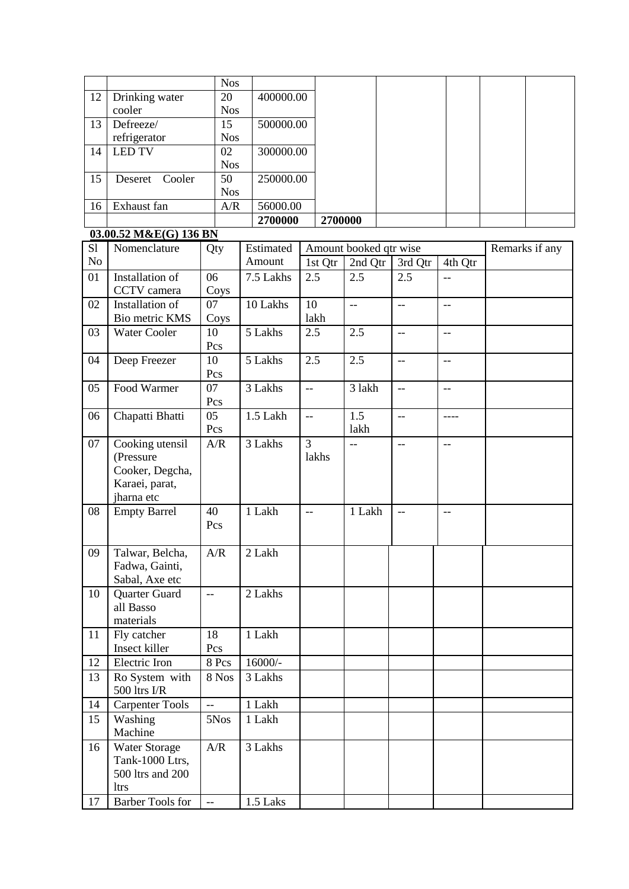|    |                                     |                          | <b>Nos</b><br>20 |           |                          |         |                          |                          |                |                |
|----|-------------------------------------|--------------------------|------------------|-----------|--------------------------|---------|--------------------------|--------------------------|----------------|----------------|
| 12 | Drinking water<br>cooler            |                          | <b>Nos</b>       | 400000.00 |                          |         |                          |                          |                |                |
| 13 | Defreeze/                           |                          | 15               | 500000.00 |                          |         |                          |                          |                |                |
|    | refrigerator                        |                          | <b>Nos</b>       |           |                          |         |                          |                          |                |                |
| 14 | <b>LED TV</b>                       |                          | 02               | 300000.00 |                          |         |                          |                          |                |                |
|    |                                     |                          | <b>Nos</b>       |           |                          |         |                          |                          |                |                |
| 15 | Deseret<br>Cooler                   |                          | 50               | 250000.00 |                          |         |                          |                          |                |                |
|    |                                     |                          | <b>Nos</b>       |           |                          |         |                          |                          |                |                |
| 16 | Exhaust fan                         |                          | A/R              | 56000.00  |                          |         |                          |                          |                |                |
|    |                                     |                          |                  | 2700000   |                          | 2700000 |                          |                          |                |                |
|    | 03.00.52 M&E(G) 136 BN              |                          |                  |           |                          |         |                          |                          |                |                |
| S1 | Nomenclature                        | Qty                      |                  | Estimated |                          |         | Amount booked qtr wise   |                          |                | Remarks if any |
| No |                                     |                          |                  | Amount    |                          | 1st Qtr | $\overline{2}$ nd Qtr    | 3rd Qtr                  | 4th Qtr        |                |
| 01 | Installation of<br>CCTV camera      | 06                       |                  | 7.5 Lakhs | 2.5                      |         | 2.5                      | 2.5                      | --             |                |
| 02 | <b>Installation of</b>              | 07                       | Coys             | 10 Lakhs  | 10                       |         | $\overline{\phantom{a}}$ | $-$                      |                |                |
|    | Bio metric KMS                      |                          | Coys             |           |                          | lakh    |                          |                          | --             |                |
| 03 | <b>Water Cooler</b>                 | 10                       |                  | 5 Lakhs   | 2.5                      |         | 2.5                      | $\overline{a}$           | $\overline{a}$ |                |
|    |                                     | Pcs                      |                  |           |                          |         |                          |                          |                |                |
| 04 | Deep Freezer                        | 10                       |                  | 5 Lakhs   | 2.5                      |         | 2.5                      | $-$                      | $-$            |                |
|    |                                     | Pcs                      |                  |           |                          |         |                          |                          |                |                |
| 05 | Food Warmer                         | 07                       |                  | 3 Lakhs   | $\overline{\phantom{a}}$ |         | 3 lakh                   | $-$                      | --             |                |
|    |                                     | Pcs                      |                  |           |                          |         |                          |                          |                |                |
| 06 | Chapatti Bhatti                     | 05                       |                  | 1.5 Lakh  | $\overline{\phantom{a}}$ |         | 1.5                      | $-$                      | ----           |                |
|    |                                     | Pcs                      |                  |           |                          |         | lakh                     |                          |                |                |
| 07 | Cooking utensil<br>(Pressure        | A/R                      |                  | 3 Lakhs   | $\overline{3}$           |         | --                       | $\overline{\phantom{m}}$ | $-$            |                |
|    | Cooker, Degcha,                     |                          |                  |           |                          | lakhs   |                          |                          |                |                |
|    | Karaei, parat,                      |                          |                  |           |                          |         |                          |                          |                |                |
|    | jharna etc                          |                          |                  |           |                          |         |                          |                          |                |                |
| 08 | <b>Empty Barrel</b>                 | 40                       |                  | 1 Lakh    | $-$                      |         | 1 Lakh                   | $\overline{\phantom{a}}$ | $-$            |                |
|    |                                     | Pcs                      |                  |           |                          |         |                          |                          |                |                |
|    |                                     |                          |                  |           |                          |         |                          |                          |                |                |
| 09 | Talwar, Belcha,                     | A/R                      |                  | 2 Lakh    |                          |         |                          |                          |                |                |
|    | Fadwa, Gainti,                      |                          |                  |           |                          |         |                          |                          |                |                |
|    | Sabal, Axe etc                      |                          |                  |           |                          |         |                          |                          |                |                |
| 10 | Quarter Guard<br>all Basso          | $\overline{\phantom{a}}$ |                  | 2 Lakhs   |                          |         |                          |                          |                |                |
|    | materials                           |                          |                  |           |                          |         |                          |                          |                |                |
| 11 | Fly catcher                         | 18                       |                  | 1 Lakh    |                          |         |                          |                          |                |                |
|    | Insect killer                       | Pcs                      |                  |           |                          |         |                          |                          |                |                |
| 12 | Electric Iron                       |                          | 8 Pcs            | $16000/-$ |                          |         |                          |                          |                |                |
| 13 | Ro System with                      |                          | 8 Nos            | 3 Lakhs   |                          |         |                          |                          |                |                |
|    | 500 ltrs I/R                        |                          |                  |           |                          |         |                          |                          |                |                |
| 14 | <b>Carpenter Tools</b>              | $\overline{a}$           |                  | 1 Lakh    |                          |         |                          |                          |                |                |
| 15 | Washing                             |                          | 5Nos             | 1 Lakh    |                          |         |                          |                          |                |                |
|    | Machine                             |                          |                  |           |                          |         |                          |                          |                |                |
| 16 | <b>Water Storage</b>                | A/R                      |                  | 3 Lakhs   |                          |         |                          |                          |                |                |
|    | Tank-1000 Ltrs,<br>500 ltrs and 200 |                          |                  |           |                          |         |                          |                          |                |                |
|    | <b>ltrs</b>                         |                          |                  |           |                          |         |                          |                          |                |                |
| 17 | <b>Barber Tools for</b>             | $\overline{\phantom{a}}$ |                  | 1.5 Laks  |                          |         |                          |                          |                |                |
|    |                                     |                          |                  |           |                          |         |                          |                          |                |                |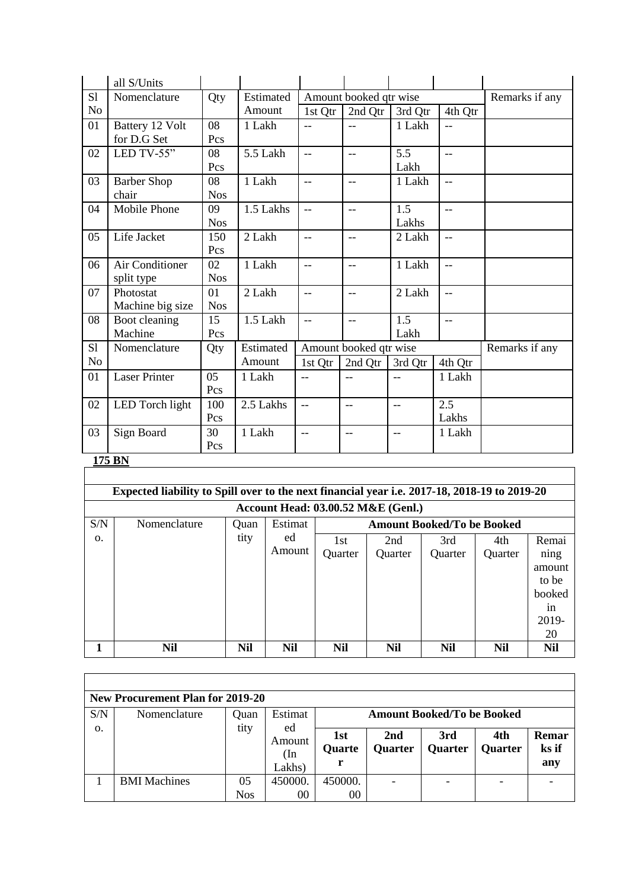|                | all S/Units          |            |           |                          |                        |         |                     |                |
|----------------|----------------------|------------|-----------|--------------------------|------------------------|---------|---------------------|----------------|
| S1             | Nomenclature         | Qty        | Estimated |                          | Amount booked qtr wise |         |                     | Remarks if any |
| N <sub>o</sub> |                      |            | Amount    | 1st Qtr                  | 2nd Qtr                | 3rd Qtr | 4th Qtr             |                |
| 01             | Battery 12 Volt      | 08         | 1 Lakh    | $-$                      | $\overline{a}$         | 1 Lakh  | $-$                 |                |
|                | for D.G Set          | Pcs        |           |                          |                        |         |                     |                |
| 02             | LED TV-55"           | 08         | 5.5 Lakh  | $\overline{a}$           | $-$                    | 5.5     | $-$                 |                |
|                |                      | Pcs        |           |                          |                        | Lakh    |                     |                |
| 03             | <b>Barber Shop</b>   | 08         | 1 Lakh    | $-$                      | $-$                    | 1 Lakh  | $-$                 |                |
|                | chair                | <b>Nos</b> |           |                          |                        |         |                     |                |
| 04             | Mobile Phone         | 09         | 1.5 Lakhs | $-$                      | $-$                    | 1.5     | $\overline{a}$      |                |
|                |                      | <b>Nos</b> |           |                          |                        | Lakhs   |                     |                |
| 05             | Life Jacket          | 150        | 2 Lakh    | $-$                      | $-$                    | 2 Lakh  | $-$                 |                |
|                |                      | Pcs        |           |                          |                        |         |                     |                |
| 06             | Air Conditioner      | 02         | 1 Lakh    | $-$                      | $-$                    | 1 Lakh  | $-$                 |                |
|                | split type           | <b>Nos</b> |           |                          |                        |         |                     |                |
| 07             | Photostat            | 01         | 2 Lakh    | $\overline{a}$           | $-$                    | 2 Lakh  | $-$                 |                |
|                | Machine big size     | <b>Nos</b> |           |                          |                        |         |                     |                |
| 08             | Boot cleaning        | 15         | 1.5 Lakh  | $\overline{a}$           | $\overline{a}$         | 1.5     | $\mathbf{L}$        |                |
|                | Machine              | Pcs        |           |                          |                        | Lakh    |                     |                |
| S1             | Nomenclature         | Qty        | Estimated |                          | Amount booked qtr wise |         |                     | Remarks if any |
| N <sub>o</sub> |                      |            | Amount    | 1st Qtr                  | 2nd Qtr                | 3rd Qtr | 4th Qtr             |                |
| 01             | <b>Laser Printer</b> | 05         | 1 Lakh    | $-$                      | $-$                    | $-$     | $\overline{1}$ Lakh |                |
|                |                      | Pcs        |           |                          |                        |         |                     |                |
| 02             | LED Torch light      | 100        | 2.5 Lakhs | $\overline{\phantom{a}}$ | $-$                    | $-$     | 2.5                 |                |
|                |                      | Pcs        |           |                          |                        |         | Lakhs               |                |
| 03             | Sign Board           | 30         | 1 Lakh    | $-$                      | $-$                    | $-$     | 1 Lakh              |                |
|                |                      | Pcs        |           |                          |                        |         |                     |                |
|                | 175 BN               |            |           |                          |                        |         |                     |                |
|                |                      |            |           |                          |                        |         |                     |                |

|     | Expected liability to Spill over to the next financial year i.e. 2017-18, 2018-19 to 2019-20 |            |              |                |                |                |                |                                                                 |  |  |
|-----|----------------------------------------------------------------------------------------------|------------|--------------|----------------|----------------|----------------|----------------|-----------------------------------------------------------------|--|--|
|     | <b>Account Head: 03.00.52 M&amp;E (Genl.)</b>                                                |            |              |                |                |                |                |                                                                 |  |  |
| S/N | Estimat<br><b>Amount Booked/To be Booked</b><br>Nomenclature<br>Quan                         |            |              |                |                |                |                |                                                                 |  |  |
| 0.  |                                                                                              | tity       | ed<br>Amount | 1st<br>Quarter | 2nd<br>Quarter | 3rd<br>Quarter | 4th<br>Quarter | Remai<br>ning<br>amount<br>to be<br>booked<br>1n<br>2019-<br>20 |  |  |
|     | Nil                                                                                          | <b>Nil</b> | <b>Nil</b>   | <b>Nil</b>     | <b>Nil</b>     | <b>Nil</b>     | Nil            | <b>Nil</b>                                                      |  |  |

|     | <b>New Procurement Plan for 2019-20</b> |                  |                         |                                   |                       |                       |                       |                       |  |  |  |
|-----|-----------------------------------------|------------------|-------------------------|-----------------------------------|-----------------------|-----------------------|-----------------------|-----------------------|--|--|--|
| S/N | Nomenclature                            | Ouan<br>tity     | Estimat<br>ed           | <b>Amount Booked/To be Booked</b> |                       |                       |                       |                       |  |  |  |
| Ο.  |                                         |                  | Amount<br>(In<br>Lakhs) | 1st<br><b>Quarte</b>              | 2nd<br><b>Quarter</b> | 3rd<br><b>Quarter</b> | 4th<br><b>Quarter</b> | Remar<br>ks if<br>any |  |  |  |
|     | <b>BMI</b> Machines                     | 05<br><b>Nos</b> | 450000.<br>00           | 450000.<br>00                     |                       |                       |                       |                       |  |  |  |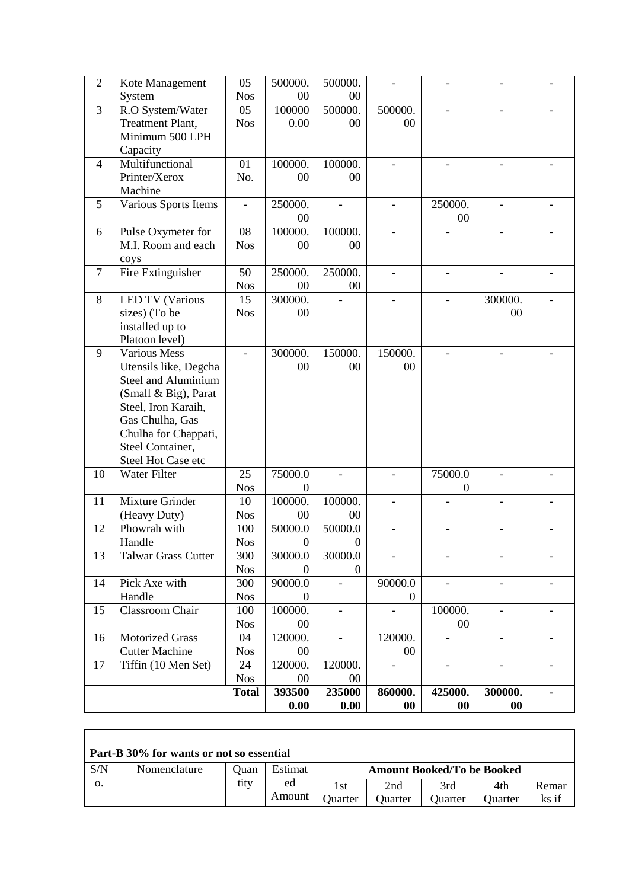|                |                                                     | <b>Total</b>      | 393500              | 235000                   | 860000.                  | 425000.                  | 300000.                  | $\blacksquare$               |
|----------------|-----------------------------------------------------|-------------------|---------------------|--------------------------|--------------------------|--------------------------|--------------------------|------------------------------|
|                |                                                     | <b>Nos</b>        | 00                  | $00\,$                   |                          |                          |                          |                              |
| 17             | Tiffin (10 Men Set)                                 | 24                | 120000.             | 120000.                  | $\overline{\phantom{0}}$ | $\blacksquare$           | $\qquad \qquad -$        | $\qquad \qquad \blacksquare$ |
|                | <b>Cutter Machine</b>                               | <b>Nos</b>        | 00                  |                          | $00\,$                   |                          |                          |                              |
| 16             | <b>Motorized Grass</b>                              | 04                | 120000.             | $\overline{\phantom{a}}$ | 120000.                  |                          |                          |                              |
|                |                                                     | <b>Nos</b>        | 00                  |                          |                          | 00                       |                          |                              |
| 15             | Handle<br>Classroom Chair                           | <b>Nos</b><br>100 | $\theta$<br>100000. | $\blacksquare$           | $\overline{0}$           | 100000.                  |                          |                              |
| 14             | Pick Axe with                                       | 300               | 90000.0             | $\overline{\phantom{a}}$ | 90000.0                  | $\overline{\phantom{a}}$ | $\overline{\phantom{a}}$ |                              |
|                |                                                     | <b>Nos</b>        | $\Omega$            | $\boldsymbol{0}$         |                          |                          |                          |                              |
| 13             | <b>Talwar Grass Cutter</b>                          | 300               | 30000.0             | 30000.0                  |                          |                          |                          |                              |
|                | Handle                                              | <b>Nos</b>        | $\boldsymbol{0}$    | $\boldsymbol{0}$         |                          |                          |                          |                              |
| 12             | Phowrah with                                        | 100               | 50000.0             | 50000.0                  |                          |                          |                          |                              |
|                | (Heavy Duty)                                        | <b>Nos</b>        | 00                  | 00                       |                          |                          |                          |                              |
| 11             | Mixture Grinder                                     | 10                | 100000.             | 100000.                  |                          |                          |                          |                              |
|                |                                                     | <b>Nos</b>        | $\Omega$            |                          |                          | 0                        |                          |                              |
| 10             | Steel Hot Case etc<br>Water Filter                  | 25                | 75000.0             |                          |                          | 75000.0                  |                          |                              |
|                | Steel Container,                                    |                   |                     |                          |                          |                          |                          |                              |
|                | Chulha for Chappati,                                |                   |                     |                          |                          |                          |                          |                              |
|                | Gas Chulha, Gas                                     |                   |                     |                          |                          |                          |                          |                              |
|                | Steel, Iron Karaih,                                 |                   |                     |                          |                          |                          |                          |                              |
|                | (Small & Big), Parat                                |                   |                     |                          |                          |                          |                          |                              |
|                | Utensils like, Degcha<br><b>Steel and Aluminium</b> |                   | 00                  | 00                       | 00                       |                          |                          |                              |
| 9              | <b>Various Mess</b>                                 |                   | 300000.             | 150000.                  | 150000.                  |                          |                          |                              |
|                | Platoon level)                                      |                   |                     |                          |                          |                          |                          |                              |
|                | installed up to                                     |                   |                     |                          |                          |                          |                          |                              |
|                | sizes) (To be                                       | <b>Nos</b>        | 00                  |                          |                          |                          | 00                       |                              |
| 8              | <b>LED TV (Various</b>                              | 15                | 300000.             |                          |                          |                          | 300000.                  |                              |
|                |                                                     | <b>Nos</b>        | 00                  | 00                       |                          |                          |                          |                              |
| $\tau$         | coys<br>Fire Extinguisher                           | 50                | 250000.             | 250000.                  |                          |                          |                          |                              |
|                | M.I. Room and each                                  | <b>Nos</b>        | 00                  | 00                       |                          |                          |                          |                              |
| 6              | Pulse Oxymeter for                                  | 08                | 100000.             | 100000.                  |                          |                          |                          |                              |
|                |                                                     |                   | 00                  |                          |                          | 00                       |                          |                              |
| 5              | Various Sports Items                                | $\blacksquare$    | 250000.             | $\overline{a}$           | $\overline{a}$           | 250000.                  |                          |                              |
|                | Machine                                             |                   |                     |                          |                          |                          |                          |                              |
|                | Printer/Xerox                                       | No.               | 00                  | 00                       |                          |                          |                          |                              |
| 4              | Multifunctional                                     | 01                | 100000.             | 100000.                  |                          |                          |                          |                              |
|                | Capacity                                            |                   |                     |                          |                          |                          |                          |                              |
|                | Treatment Plant,<br>Minimum 500 LPH                 | <b>Nos</b>        | 0.00                | $00\,$                   | 00                       |                          |                          |                              |
| 3              | R.O System/Water                                    | 05                | 100000              | 500000.                  | 500000.                  |                          |                          |                              |
|                | System                                              | <b>Nos</b>        | 00                  | 00                       |                          |                          |                          |                              |
| $\overline{2}$ | Kote Management                                     | 05                | 500000.             | 500000.                  |                          |                          |                          |                              |

|     | Part-B 30% for wants or not so essential |      |         |         |                                   |         |         |       |  |  |  |
|-----|------------------------------------------|------|---------|---------|-----------------------------------|---------|---------|-------|--|--|--|
| S/N | Nomenclature                             | Ouan | Estimat |         | <b>Amount Booked/To be Booked</b> |         |         |       |  |  |  |
| О.  |                                          | tity | ed      | 1st     | 2nd                               | 3rd     | 4th     | Remar |  |  |  |
|     |                                          |      | Amount  | Juarter | Ouarter                           | Ouarter | Juarter | ks if |  |  |  |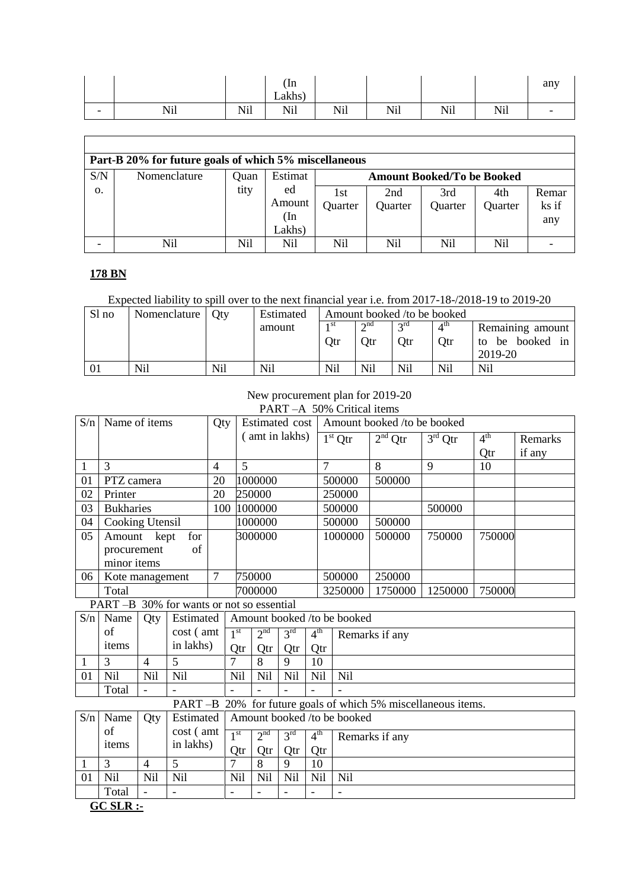|                          |             |                           | $\ln$<br>11<br>Lakhs |                                                       |            |     |            | 0.131<br>$\mathbf{u}$ |
|--------------------------|-------------|---------------------------|----------------------|-------------------------------------------------------|------------|-----|------------|-----------------------|
| $\overline{\phantom{0}}$ | Ni1<br>TATT | <b>AT'1</b><br><b>NII</b> | Nil                  | $\mathbf{X}$ T <sup>+</sup> 1<br>- N+1<br><b>TAIT</b> | <b>Nil</b> | Nil | <b>Nil</b> |                       |

┑

|     | Part-B 20% for future goals of which 5% miscellaneous |      |         |         |         |                                   |         |       |  |  |  |
|-----|-------------------------------------------------------|------|---------|---------|---------|-----------------------------------|---------|-------|--|--|--|
| S/N | Nomenclature                                          | Ouan | Estimat |         |         | <b>Amount Booked/To be Booked</b> |         |       |  |  |  |
| 0.  |                                                       | tity | ed      | 1st     | 2nd     | 3rd                               | 4th     | Remar |  |  |  |
|     |                                                       |      | Amount  | Quarter | Quarter | Quarter                           | Quarter | ks if |  |  |  |
|     |                                                       |      | (In     |         |         |                                   |         | any   |  |  |  |
|     |                                                       |      | Lakhs)  |         |         |                                   |         |       |  |  |  |
|     | Nil                                                   | Nil  | Nil     | Nil     | Nil     | Nil                               | Nil     |       |  |  |  |

### **178 BN**

## Expected liability to spill over to the next financial year i.e. from 2017-18-/2018-19 to 2019-20

| Sl no | Nomenclature   Oty |     | Estimated |      | Amount booked /to be booked |                 |                 |                  |
|-------|--------------------|-----|-----------|------|-----------------------------|-----------------|-----------------|------------------|
|       |                    |     | amount    | 1 St | $\gamma$ nd                 | $2^{\text{rd}}$ | $4^{\text{th}}$ | Remaining amount |
|       |                    |     |           | Qtr  | Otr                         | <b>Qtr</b>      | <b>Qtr</b>      | to be booked in  |
|       |                    |     |           |      |                             |                 |                 | 2019-20          |
| 01    | Nil                | Nil | Nil       | Nil  | Nil                         | Nil             | Nil             | <b>Nil</b>       |

# New procurement plan for 2019-20

|     | PART-A 50% Critical items |                |                                           |                |                 |                 |                 |                 |                             |                                                       |                                |                 |         |  |
|-----|---------------------------|----------------|-------------------------------------------|----------------|-----------------|-----------------|-----------------|-----------------|-----------------------------|-------------------------------------------------------|--------------------------------|-----------------|---------|--|
| S/n | Name of items             |                |                                           | Qty            |                 | Estimated cost  |                 |                 |                             | Amount booked /to be booked                           |                                |                 |         |  |
|     |                           |                |                                           |                |                 | (amt in lakhs)  |                 |                 | $1st$ Qtr                   | $2nd$ Qtr                                             | $\overline{3}^{\text{rd}}$ Qtr | 4 <sup>th</sup> | Remarks |  |
|     |                           |                |                                           |                |                 |                 |                 |                 |                             |                                                       |                                | Qtr             | if any  |  |
| 1   | 3                         |                |                                           | $\overline{4}$ | 5               |                 |                 | 7               |                             | 8                                                     | 9                              | 10              |         |  |
| 01  | PTZ camera                |                |                                           | 20             |                 | 1000000         |                 |                 | 500000                      | 500000                                                |                                |                 |         |  |
| 02  | Printer                   |                |                                           | 20             |                 | 250000          |                 |                 | 250000                      |                                                       |                                |                 |         |  |
| 03  | <b>Bukharies</b>          |                |                                           | 100            |                 | 1000000         |                 |                 | 500000                      |                                                       | 500000                         |                 |         |  |
| 04  | <b>Cooking Utensil</b>    |                |                                           |                |                 | 1000000         |                 |                 | 500000                      | 500000                                                |                                |                 |         |  |
| 05  | Amount kept               |                | for                                       |                |                 | 3000000         |                 |                 | 1000000                     | 500000                                                | 750000                         | 750000          |         |  |
|     | procurement               |                | of                                        |                |                 |                 |                 |                 |                             |                                                       |                                |                 |         |  |
|     | minor items               |                |                                           |                |                 |                 |                 |                 |                             |                                                       |                                |                 |         |  |
| 06  | Kote management           |                |                                           | $\tau$         |                 | 750000          |                 |                 | 500000                      | 250000                                                |                                |                 |         |  |
|     | Total                     |                |                                           |                |                 | 7000000         |                 |                 | 3250000                     | 1750000                                               | 1250000                        | 750000          |         |  |
|     |                           |                | PART -B 30% for wants or not so essential |                |                 |                 |                 |                 |                             |                                                       |                                |                 |         |  |
| S/n | Name                      | Qty            | Estimated                                 |                |                 |                 |                 |                 | Amount booked /to be booked |                                                       |                                |                 |         |  |
|     | of                        |                | cost (amt                                 |                | 1 <sup>st</sup> | 2 <sup>nd</sup> | 3 <sup>rd</sup> | 4 <sup>th</sup> |                             | Remarks if any                                        |                                |                 |         |  |
|     | items                     |                | in lakhs)                                 |                | Qtr             | Otr             | Qtr             | Qtr             |                             |                                                       |                                |                 |         |  |
| 1   | 3                         | $\overline{4}$ | 5                                         |                | $\overline{7}$  | 8               | 9               | 10              |                             |                                                       |                                |                 |         |  |
| 01  | Nil                       | Nil            | Nil                                       |                | Nil             | Nil             | Nil             | Nil             | Nil                         |                                                       |                                |                 |         |  |
|     | Total                     |                |                                           |                |                 |                 |                 |                 |                             |                                                       |                                |                 |         |  |
|     |                           |                | PART-B                                    |                |                 |                 |                 |                 |                             | 20% for future goals of which 5% miscellaneous items. |                                |                 |         |  |
| S/n | Name                      | Qty            | Estimated                                 |                |                 |                 |                 |                 | Amount booked /to be booked |                                                       |                                |                 |         |  |
|     | of                        |                | cost (amt                                 |                | 1 <sup>st</sup> | 2 <sup>nd</sup> | 3 <sup>rd</sup> | 4 <sup>th</sup> |                             | Remarks if any                                        |                                |                 |         |  |
|     | items                     |                | in lakhs)                                 |                | Qtr             | Qtr             | Qtr             | Qtr             |                             |                                                       |                                |                 |         |  |
| 1   | 3                         | $\overline{4}$ | 5                                         |                | $\overline{7}$  | 8               | 9               | 10              |                             |                                                       |                                |                 |         |  |
| 01  | Nil                       | Nil            | Nil                                       |                | Nil             | Nil             | Nil             | Nil             | Nil                         |                                                       |                                |                 |         |  |
|     | Total                     |                |                                           |                | $\blacksquare$  |                 |                 |                 |                             |                                                       |                                |                 |         |  |
|     | QQQ                       |                |                                           |                |                 |                 |                 |                 |                             |                                                       |                                |                 |         |  |

**GC SLR :-**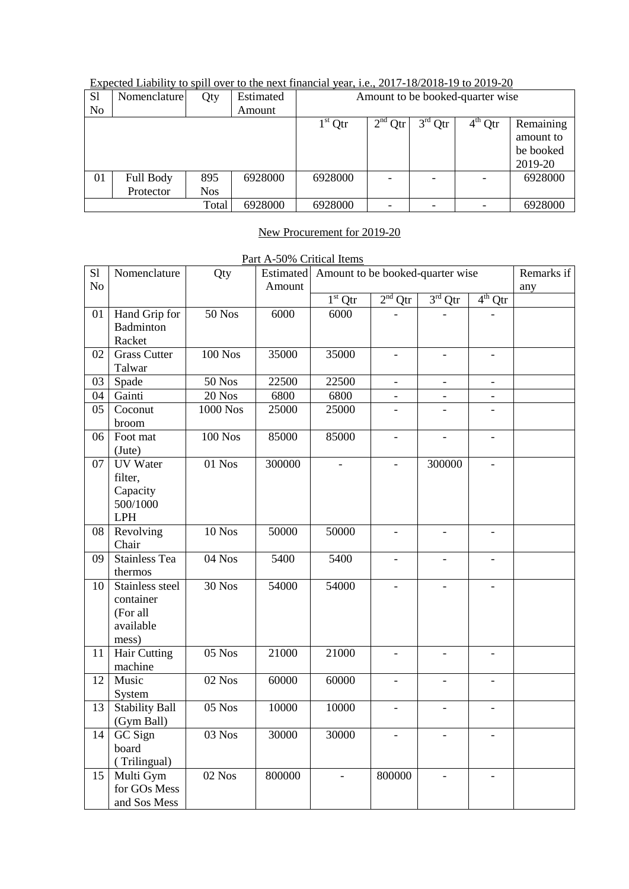| S <sub>1</sub> | Nomenclature           | Qty               | Estimated | Amount to be booked-quarter wise |           |           |           |                                                |  |  |
|----------------|------------------------|-------------------|-----------|----------------------------------|-----------|-----------|-----------|------------------------------------------------|--|--|
| N <sub>0</sub> |                        |                   | Amount    |                                  |           |           |           |                                                |  |  |
|                |                        |                   |           | $1st$ Qtr                        | $2nd$ Qtr | $3rd$ Qtr | $4th$ Qtr | Remaining<br>amount to<br>be booked<br>2019-20 |  |  |
| 01             | Full Body<br>Protector | 895<br><b>Nos</b> | 6928000   | 6928000                          |           |           |           | 6928000                                        |  |  |
|                |                        | Total             | 6928000   | 6928000                          |           |           |           | 6928000                                        |  |  |

# Expected Liability to spill over to the next financial year, i.e., 2017-18/2018-19 to 2019-20

## New Procurement for 2019-20

|  | Part A-50% Critical Items |  |
|--|---------------------------|--|
|  |                           |  |

| S1             | Nomenclature                                                   | Qty            |        | Estimated Amount to be booked-quarter wise | Remarks if               |                          |                          |     |
|----------------|----------------------------------------------------------------|----------------|--------|--------------------------------------------|--------------------------|--------------------------|--------------------------|-----|
| N <sub>o</sub> |                                                                |                | Amount |                                            |                          |                          |                          | any |
|                |                                                                |                |        | $1st$ Qtr                                  | $2nd$ Qtr                | $3rd$ Qtr                | $4^{th}$ Qtr             |     |
| $01\,$         | Hand Grip for<br>Badminton<br>Racket                           | $50$ Nos       | 6000   | 6000                                       |                          |                          |                          |     |
| 02             | <b>Grass Cutter</b><br>Talwar                                  | <b>100 Nos</b> | 35000  | 35000                                      | $\overline{a}$           | $\overline{\phantom{a}}$ | $\overline{a}$           |     |
| 03             | Spade                                                          | <b>50 Nos</b>  | 22500  | 22500                                      | $\frac{1}{2}$            | $\blacksquare$           | $\blacksquare$           |     |
| 04             | Gainti                                                         | $20$ Nos       | 6800   | 6800                                       |                          |                          |                          |     |
| 05             | Coconut<br>broom                                               | 1000 Nos       | 25000  | 25000                                      |                          |                          |                          |     |
| 06             | Foot mat<br>(Jute)                                             | <b>100 Nos</b> | 85000  | 85000                                      | $\frac{1}{2}$            | $\mathbf{r}$             | $\blacksquare$           |     |
| 07             | <b>UV</b> Water<br>filter,<br>Capacity<br>500/1000<br>LPH      | $01$ Nos       | 300000 | $\overline{a}$                             | $\overline{a}$           | 300000                   | $\frac{1}{2}$            |     |
| 08             | Revolving<br>Chair                                             | $10$ Nos       | 50000  | 50000                                      | $\overline{\phantom{0}}$ | $\overline{\phantom{a}}$ | $\overline{\phantom{a}}$ |     |
| 09             | <b>Stainless Tea</b><br>thermos                                | 04 Nos         | 5400   | 5400                                       | $\overline{\phantom{a}}$ | $\overline{\phantom{a}}$ | $\overline{\phantom{a}}$ |     |
| 10             | Stainless steel<br>container<br>(For all<br>available<br>mess) | 30 Nos         | 54000  | 54000                                      | $\overline{a}$           |                          |                          |     |
| 11             | <b>Hair Cutting</b><br>machine                                 | 05 Nos         | 21000  | 21000                                      | $\overline{\phantom{0}}$ | $\overline{a}$           | $\overline{\phantom{0}}$ |     |
| 12             | Music<br>System                                                | $02$ Nos       | 60000  | 60000                                      | $\frac{1}{2}$            | $\overline{a}$           | $\overline{a}$           |     |
| 13             | <b>Stability Ball</b><br>(Gym Ball)                            | $05$ Nos       | 10000  | 10000                                      | $\overline{a}$           |                          | $\overline{a}$           |     |
| 14             | <b>GC</b> Sign<br>board<br>(Trilingual)                        | 03 Nos         | 30000  | 30000                                      | $\overline{a}$           |                          |                          |     |
| 15             | Multi Gym<br>for GOs Mess<br>and Sos Mess                      | $02$ Nos       | 800000 | $\overline{\phantom{a}}$                   | 800000                   | $\overline{\phantom{a}}$ |                          |     |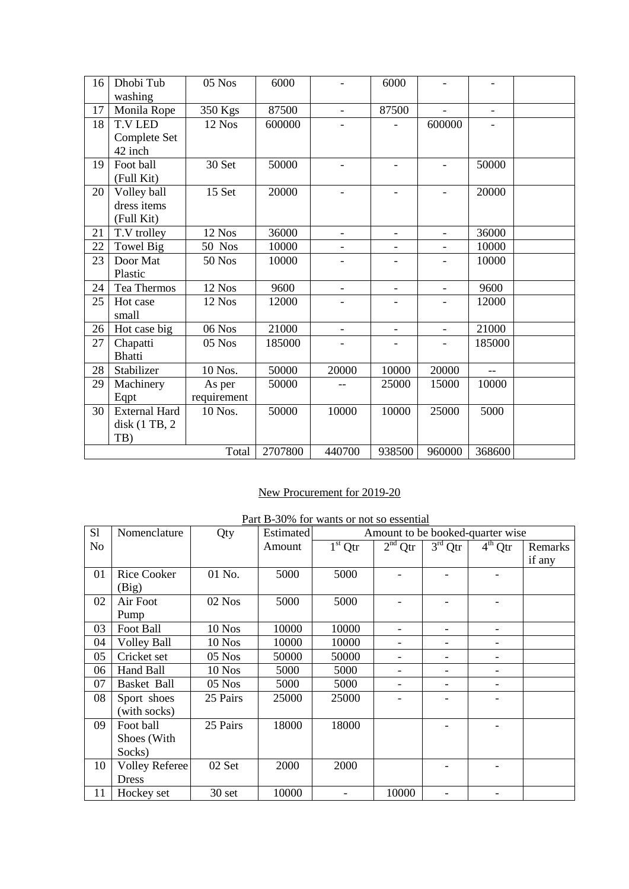| 16 | Dhobi Tub            | 05 Nos        | 6000    |                          | 6000                     |                          |                |  |
|----|----------------------|---------------|---------|--------------------------|--------------------------|--------------------------|----------------|--|
|    | washing              |               |         |                          |                          |                          |                |  |
| 17 | Monila Rope          | 350 Kgs       | 87500   | $\overline{a}$           | 87500                    | $\overline{a}$           | $\overline{a}$ |  |
| 18 | <b>T.V LED</b>       | 12 Nos        | 600000  |                          |                          | 600000                   |                |  |
|    | Complete Set         |               |         |                          |                          |                          |                |  |
|    | 42 inch              |               |         |                          |                          |                          |                |  |
| 19 | Foot ball            | 30 Set        | 50000   | $\overline{\phantom{0}}$ | $\blacksquare$           | $\overline{\phantom{0}}$ | 50000          |  |
|    | (Full Kit)           |               |         |                          |                          |                          |                |  |
| 20 | Volley ball          | 15 Set        | 20000   |                          |                          | $\overline{\phantom{0}}$ | 20000          |  |
|    | dress items          |               |         |                          |                          |                          |                |  |
|    | (Full Kit)           |               |         |                          |                          |                          |                |  |
| 21 | T.V trolley          | 12 Nos        | 36000   | $\overline{\phantom{0}}$ | $\overline{\phantom{a}}$ | $\overline{a}$           | 36000          |  |
| 22 | Towel Big            | <b>50 Nos</b> | 10000   | $\overline{a}$           | $\overline{\phantom{a}}$ | $\overline{a}$           | 10000          |  |
| 23 | Door Mat             | <b>50 Nos</b> | 10000   |                          |                          |                          | 10000          |  |
|    | Plastic              |               |         |                          |                          |                          |                |  |
| 24 | Tea Thermos          | 12 Nos        | 9600    | $\overline{a}$           | $\overline{\phantom{a}}$ | $\overline{\phantom{0}}$ | 9600           |  |
| 25 | Hot case             | 12 Nos        | 12000   |                          |                          |                          | 12000          |  |
|    | small                |               |         |                          |                          |                          |                |  |
| 26 | Hot case big         | $06$ Nos      | 21000   | $\frac{1}{2}$            | $\overline{\phantom{a}}$ | $\overline{\phantom{0}}$ | 21000          |  |
| 27 | Chapatti             | 05 Nos        | 185000  |                          |                          |                          | 185000         |  |
|    | <b>Bhatti</b>        |               |         |                          |                          |                          |                |  |
| 28 | Stabilizer           | 10 Nos.       | 50000   | 20000                    | 10000                    | 20000                    | $-$            |  |
| 29 | Machinery            | As per        | 50000   |                          | 25000                    | 15000                    | 10000          |  |
|    | Eqpt                 | requirement   |         |                          |                          |                          |                |  |
| 30 | <b>External Hard</b> | 10 Nos.       | 50000   | 10000                    | 10000                    | 25000                    | 5000           |  |
|    | disk (1 TB, 2)       |               |         |                          |                          |                          |                |  |
|    | TB)                  |               |         |                          |                          |                          |                |  |
|    |                      | Total         | 2707800 | 440700                   | 938500                   | 960000                   | 368600         |  |

## New Procurement for 2019-20

| Part B-30% for wants or not so essential |  |  |  |  |  |  |
|------------------------------------------|--|--|--|--|--|--|
|------------------------------------------|--|--|--|--|--|--|

| S1 | Nomenclature          | Qty      | Estimated | Amount to be booked-quarter wise |           |           |           |         |
|----|-----------------------|----------|-----------|----------------------------------|-----------|-----------|-----------|---------|
| No |                       |          | Amount    | $1st$ Qtr                        | $2nd$ Qtr | $3rd$ Qtr | $4th$ Qtr | Remarks |
|    |                       |          |           |                                  |           |           |           | if any  |
| 01 | <b>Rice Cooker</b>    | 01 No.   | 5000      | 5000                             |           |           |           |         |
|    | (Big)                 |          |           |                                  |           |           |           |         |
| 02 | Air Foot              | 02 Nos   | 5000      | 5000                             |           |           |           |         |
|    | Pump                  |          |           |                                  |           |           |           |         |
| 03 | Foot Ball             | 10 Nos   | 10000     | 10000                            |           |           |           |         |
| 04 | <b>Volley Ball</b>    | $10$ Nos | 10000     | 10000                            |           |           |           |         |
| 05 | Cricket set           | $05$ Nos | 50000     | 50000                            |           |           |           |         |
| 06 | Hand Ball             | 10 Nos   | 5000      | 5000                             |           |           |           |         |
| 07 | Basket Ball           | $05$ Nos | 5000      | 5000                             | -         |           |           |         |
| 08 | Sport shoes           | 25 Pairs | 25000     | 25000                            |           |           |           |         |
|    | (with socks)          |          |           |                                  |           |           |           |         |
| 09 | Foot ball             | 25 Pairs | 18000     | 18000                            |           |           |           |         |
|    | Shoes (With           |          |           |                                  |           |           |           |         |
|    | Socks)                |          |           |                                  |           |           |           |         |
| 10 | <b>Volley Referee</b> | 02 Set   | 2000      | 2000                             |           |           |           |         |
|    | <b>Dress</b>          |          |           |                                  |           |           |           |         |
| 11 | Hockey set            | 30 set   | 10000     |                                  | 10000     |           |           |         |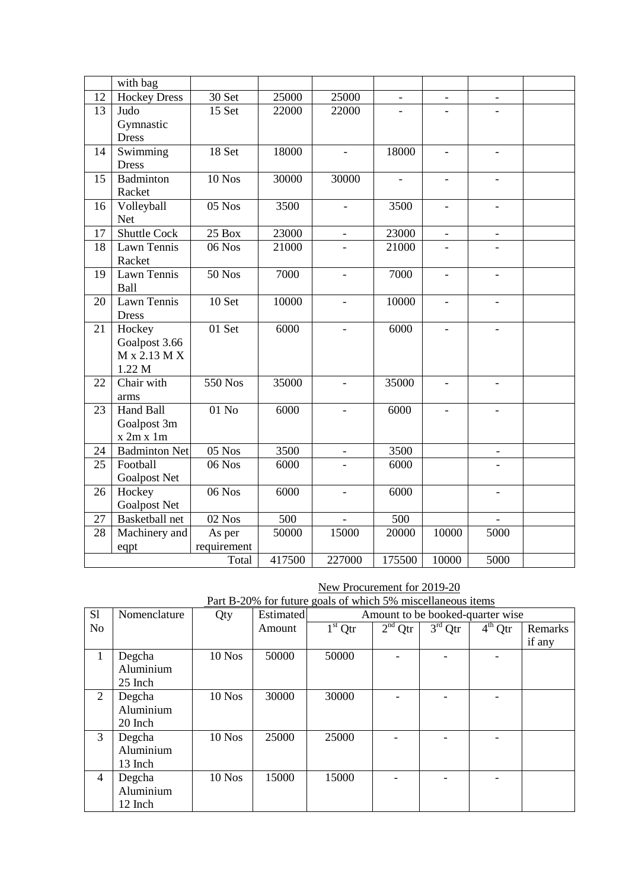| with bag<br><b>Hockey Dress</b><br>12<br>30 Set<br>25000<br>25000<br>$\overline{\phantom{a}}$<br>$\overline{\phantom{a}}$<br>$\overline{\phantom{a}}$<br>$15$ Set<br>13<br>22000<br>22000<br>Judo<br>Gymnastic<br><b>Dress</b> |
|--------------------------------------------------------------------------------------------------------------------------------------------------------------------------------------------------------------------------------|
|                                                                                                                                                                                                                                |
|                                                                                                                                                                                                                                |
|                                                                                                                                                                                                                                |
|                                                                                                                                                                                                                                |
|                                                                                                                                                                                                                                |
| Swimming<br>18 Set<br>18000<br>18000<br>14<br>$\equiv$                                                                                                                                                                         |
| <b>Dress</b>                                                                                                                                                                                                                   |
| 15<br>Badminton<br><b>10 Nos</b><br>30000<br>30000                                                                                                                                                                             |
| Racket                                                                                                                                                                                                                         |
| 05 Nos<br>3500<br>3500<br>16<br>Volleyball<br>$\overline{\phantom{0}}$                                                                                                                                                         |
| <b>Net</b>                                                                                                                                                                                                                     |
| <b>Shuttle Cock</b><br>23000<br>25 Box<br>23000<br>17<br>$\overline{\phantom{0}}$<br>$\overline{\phantom{0}}$<br>$\frac{1}{2}$                                                                                                 |
| Lawn Tennis<br>06 Nos<br>21000<br>21000<br>18                                                                                                                                                                                  |
| Racket                                                                                                                                                                                                                         |
| <b>50 Nos</b><br>7000<br>Lawn Tennis<br>7000<br>19<br>$\overline{\phantom{a}}$<br>$\overline{\phantom{a}}$<br>$\frac{1}{2}$                                                                                                    |
| Ball                                                                                                                                                                                                                           |
| Lawn Tennis<br>10 Set<br>10000<br>10000<br>20<br>$\overline{\phantom{a}}$<br>$\overline{\phantom{a}}$<br>$\overline{\phantom{a}}$                                                                                              |
| <b>Dress</b>                                                                                                                                                                                                                   |
| 01 Set<br>6000<br>Hockey<br>6000<br>21<br>$\blacksquare$<br>$\equiv$<br>$\overline{\phantom{a}}$                                                                                                                               |
| Goalpost 3.66                                                                                                                                                                                                                  |
| $M \times 2.13 M X$                                                                                                                                                                                                            |
| 1.22 M                                                                                                                                                                                                                         |
| Chair with<br>550 Nos<br>35000<br>35000<br>22<br>$\overline{a}$                                                                                                                                                                |
| arms                                                                                                                                                                                                                           |
| Hand Ball<br>01 No<br>6000<br>6000<br>23                                                                                                                                                                                       |
| Goalpost 3m                                                                                                                                                                                                                    |
| x 2m x 1m                                                                                                                                                                                                                      |
| <b>Badminton Net</b><br>$05$ Nos<br>3500<br>3500<br>24<br>$\qquad \qquad -$                                                                                                                                                    |
| 25<br>Football<br>06 Nos<br>6000<br>6000                                                                                                                                                                                       |
| <b>Goalpost Net</b>                                                                                                                                                                                                            |
| Hockey<br>06 Nos<br>6000<br>6000<br>26<br>$\overline{a}$                                                                                                                                                                       |
| <b>Goalpost Net</b>                                                                                                                                                                                                            |
| <b>Basketball</b> net<br>02 Nos<br>500<br>500<br>27                                                                                                                                                                            |
| 50000<br>15000<br>20000<br>10000<br>5000<br>28<br>Machinery and<br>As per                                                                                                                                                      |
| requirement<br>eqpt                                                                                                                                                                                                            |
| 175500<br>417500<br>227000<br>10000<br>5000<br>Total                                                                                                                                                                           |

New Procurement for 2019-20

|                | Part B-20% for future goals of which 3% inscenaneous reflis |          |                  |                                  |           |           |           |         |
|----------------|-------------------------------------------------------------|----------|------------------|----------------------------------|-----------|-----------|-----------|---------|
| S1             | Nomenclature                                                | Qty      | <b>Estimated</b> | Amount to be booked-quarter wise |           |           |           |         |
| N <sub>o</sub> |                                                             |          | Amount           | $1st$ Qtr                        | $2nd$ Qtr | $3rd$ Qtr | $4th$ Qtr | Remarks |
|                |                                                             |          |                  |                                  |           |           |           | if any  |
| $\mathbf{1}$   | Degcha                                                      | $10$ Nos | 50000            | 50000                            |           |           |           |         |
|                | Aluminium                                                   |          |                  |                                  |           |           |           |         |
|                | 25 Inch                                                     |          |                  |                                  |           |           |           |         |
| 2              | Degcha                                                      | $10$ Nos | 30000            | 30000                            |           |           |           |         |
|                | Aluminium                                                   |          |                  |                                  |           |           |           |         |
|                | 20 Inch                                                     |          |                  |                                  |           |           |           |         |
| 3              | Degcha                                                      | $10$ Nos | 25000            | 25000                            |           |           |           |         |
|                | Aluminium                                                   |          |                  |                                  |           |           |           |         |
|                | 13 Inch                                                     |          |                  |                                  |           |           |           |         |
| 4              | Degcha                                                      | $10$ Nos | 15000            | 15000                            |           |           |           |         |
|                | Aluminium                                                   |          |                  |                                  |           |           |           |         |
|                | 12 Inch                                                     |          |                  |                                  |           |           |           |         |
|                |                                                             |          |                  |                                  |           |           |           |         |

Part B-20% for future goals of which 5% miscellaneous items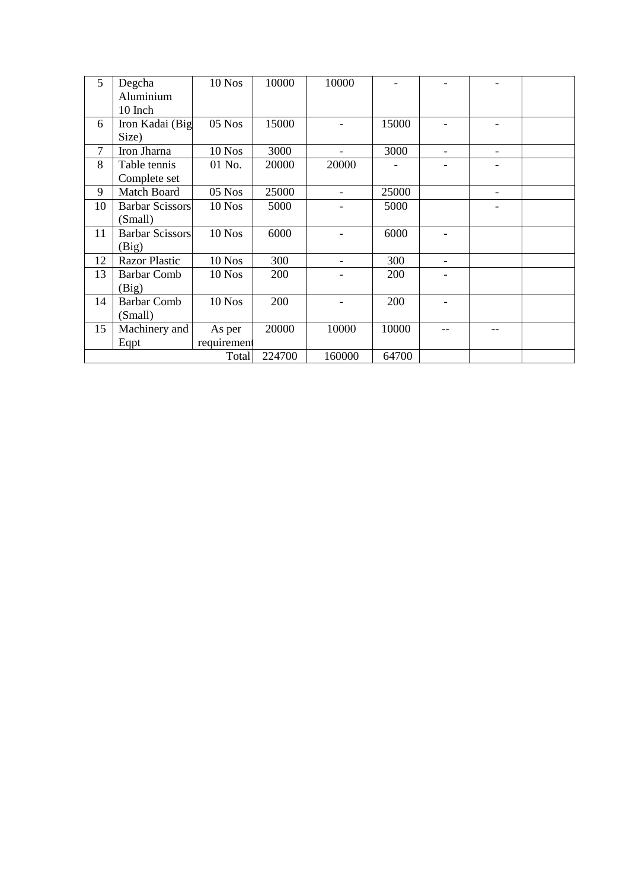| 5              | Degcha                 | 10 Nos      | 10000  | 10000                        |       |                              |  |
|----------------|------------------------|-------------|--------|------------------------------|-------|------------------------------|--|
|                |                        |             |        |                              |       |                              |  |
|                | Aluminium              |             |        |                              |       |                              |  |
|                | 10 Inch                |             |        |                              |       |                              |  |
| 6              | Iron Kadai (Big        | 05 Nos      | 15000  |                              | 15000 |                              |  |
|                | Size)                  |             |        |                              |       |                              |  |
| $\overline{7}$ | Iron Jharna            | 10 Nos      | 3000   |                              | 3000  |                              |  |
| 8              | Table tennis           | 01 No.      | 20000  | 20000                        |       |                              |  |
|                | Complete set           |             |        |                              |       |                              |  |
| 9              | Match Board            | $05$ Nos    | 25000  | $\qquad \qquad \blacksquare$ | 25000 | $\qquad \qquad \blacksquare$ |  |
| 10             | <b>Barbar Scissors</b> | $10$ Nos    | 5000   |                              | 5000  |                              |  |
|                | (Small)                |             |        |                              |       |                              |  |
| 11             | <b>Barbar Scissors</b> | 10 Nos      | 6000   |                              | 6000  |                              |  |
|                | (Big)                  |             |        |                              |       |                              |  |
| 12             | <b>Razor Plastic</b>   | $10$ Nos    | 300    |                              | 300   |                              |  |
| 13             | <b>Barbar Comb</b>     | 10 Nos      | 200    |                              | 200   |                              |  |
|                | (Big)                  |             |        |                              |       |                              |  |
| 14             | <b>Barbar Comb</b>     | 10 Nos      | 200    |                              | 200   |                              |  |
|                | (Small)                |             |        |                              |       |                              |  |
| 15             | Machinery and          | As per      | 20000  | 10000                        | 10000 |                              |  |
|                | Eqpt                   | requirement |        |                              |       |                              |  |
|                |                        | Total       | 224700 | 160000                       | 64700 |                              |  |